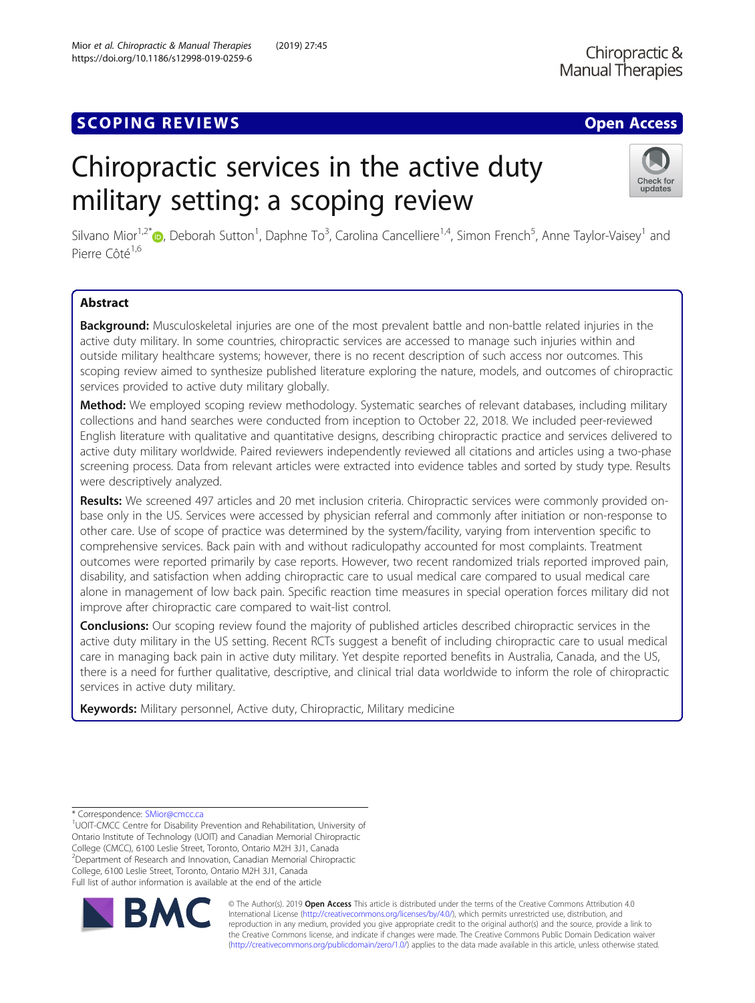# **SCOPING REVIEWS SCOPING REVIEWS**

# Chiropractic services in the active duty military setting: a scoping review

Silvano Mior<sup>1[,](http://orcid.org/0000-0001-6575-2797)2\*</sup>®, Deborah Sutton<sup>1</sup>, Daphne To<sup>3</sup>, Carolina Cancelliere<sup>1,4</sup>, Simon French<sup>5</sup>, Anne Taylor-Vaisey<sup>1</sup> and Pierre Côté<sup>1,6</sup>

# Abstract

Background: Musculoskeletal injuries are one of the most prevalent battle and non-battle related injuries in the active duty military. In some countries, chiropractic services are accessed to manage such injuries within and outside military healthcare systems; however, there is no recent description of such access nor outcomes. This scoping review aimed to synthesize published literature exploring the nature, models, and outcomes of chiropractic services provided to active duty military globally.

Method: We employed scoping review methodology. Systematic searches of relevant databases, including military collections and hand searches were conducted from inception to October 22, 2018. We included peer-reviewed English literature with qualitative and quantitative designs, describing chiropractic practice and services delivered to active duty military worldwide. Paired reviewers independently reviewed all citations and articles using a two-phase screening process. Data from relevant articles were extracted into evidence tables and sorted by study type. Results were descriptively analyzed.

Results: We screened 497 articles and 20 met inclusion criteria. Chiropractic services were commonly provided onbase only in the US. Services were accessed by physician referral and commonly after initiation or non-response to other care. Use of scope of practice was determined by the system/facility, varying from intervention specific to comprehensive services. Back pain with and without radiculopathy accounted for most complaints. Treatment outcomes were reported primarily by case reports. However, two recent randomized trials reported improved pain, disability, and satisfaction when adding chiropractic care to usual medical care compared to usual medical care alone in management of low back pain. Specific reaction time measures in special operation forces military did not improve after chiropractic care compared to wait-list control.

**Conclusions:** Our scoping review found the majority of published articles described chiropractic services in the active duty military in the US setting. Recent RCTs suggest a benefit of including chiropractic care to usual medical care in managing back pain in active duty military. Yet despite reported benefits in Australia, Canada, and the US, there is a need for further qualitative, descriptive, and clinical trial data worldwide to inform the role of chiropractic services in active duty military.

Keywords: Military personnel, Active duty, Chiropractic, Military medicine

<sup>1</sup> UOIT-CMCC Centre for Disability Prevention and Rehabilitation, University of Ontario Institute of Technology (UOIT) and Canadian Memorial Chiropractic College (CMCC), 6100 Leslie Street, Toronto, Ontario M2H 3J1, Canada 2 Department of Research and Innovation, Canadian Memorial Chiropractic College, 6100 Leslie Street, Toronto, Ontario M2H 3J1, Canada Full list of author information is available at the end of the article

> © The Author(s). 2019 **Open Access** This article is distributed under the terms of the Creative Commons Attribution 4.0 International License [\(http://creativecommons.org/licenses/by/4.0/](http://creativecommons.org/licenses/by/4.0/)), which permits unrestricted use, distribution, and reproduction in any medium, provided you give appropriate credit to the original author(s) and the source, provide a link to the Creative Commons license, and indicate if changes were made. The Creative Commons Public Domain Dedication waiver [\(http://creativecommons.org/publicdomain/zero/1.0/](http://creativecommons.org/publicdomain/zero/1.0/)) applies to the data made available in this article, unless otherwise stated.



updates

<sup>\*</sup> Correspondence: [SMior@cmcc.ca](mailto:SMior@cmcc.ca) <sup>1</sup>

Mior et al. Chiropractic & Manual Therapies (2019) 27:45 https://doi.org/10.1186/s12998-019-0259-6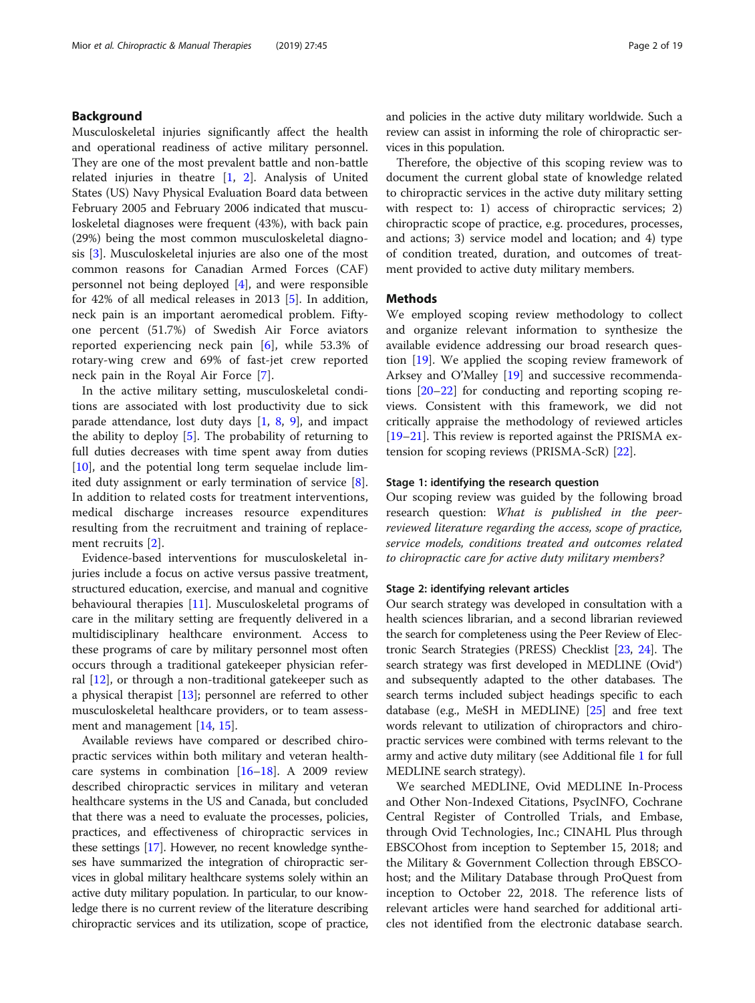# Background

Musculoskeletal injuries significantly affect the health and operational readiness of active military personnel. They are one of the most prevalent battle and non-battle related injuries in theatre [[1,](#page-17-0) [2](#page-17-0)]. Analysis of United States (US) Navy Physical Evaluation Board data between February 2005 and February 2006 indicated that musculoskeletal diagnoses were frequent (43%), with back pain (29%) being the most common musculoskeletal diagnosis [\[3](#page-17-0)]. Musculoskeletal injuries are also one of the most common reasons for Canadian Armed Forces (CAF) personnel not being deployed [\[4\]](#page-17-0), and were responsible for 42% of all medical releases in 2013 [[5\]](#page-17-0). In addition, neck pain is an important aeromedical problem. Fiftyone percent (51.7%) of Swedish Air Force aviators reported experiencing neck pain [[6\]](#page-17-0), while 53.3% of rotary-wing crew and 69% of fast-jet crew reported neck pain in the Royal Air Force [[7\]](#page-17-0).

In the active military setting, musculoskeletal conditions are associated with lost productivity due to sick parade attendance, lost duty days [[1,](#page-17-0) [8](#page-17-0), [9\]](#page-17-0), and impact the ability to deploy [\[5](#page-17-0)]. The probability of returning to full duties decreases with time spent away from duties  $[10]$  $[10]$ , and the potential long term sequelae include limited duty assignment or early termination of service [\[8](#page-17-0)]. In addition to related costs for treatment interventions, medical discharge increases resource expenditures resulting from the recruitment and training of replacement recruits [\[2](#page-17-0)].

Evidence-based interventions for musculoskeletal injuries include a focus on active versus passive treatment, structured education, exercise, and manual and cognitive behavioural therapies [[11](#page-17-0)]. Musculoskeletal programs of care in the military setting are frequently delivered in a multidisciplinary healthcare environment. Access to these programs of care by military personnel most often occurs through a traditional gatekeeper physician referral [[12\]](#page-17-0), or through a non-traditional gatekeeper such as a physical therapist [\[13\]](#page-17-0); personnel are referred to other musculoskeletal healthcare providers, or to team assessment and management [[14](#page-17-0), [15](#page-17-0)].

Available reviews have compared or described chiropractic services within both military and veteran healthcare systems in combination  $[16–18]$  $[16–18]$  $[16–18]$  $[16–18]$  $[16–18]$ . A 2009 review described chiropractic services in military and veteran healthcare systems in the US and Canada, but concluded that there was a need to evaluate the processes, policies, practices, and effectiveness of chiropractic services in these settings [\[17\]](#page-17-0). However, no recent knowledge syntheses have summarized the integration of chiropractic services in global military healthcare systems solely within an active duty military population. In particular, to our knowledge there is no current review of the literature describing chiropractic services and its utilization, scope of practice, and policies in the active duty military worldwide. Such a review can assist in informing the role of chiropractic services in this population.

Therefore, the objective of this scoping review was to document the current global state of knowledge related to chiropractic services in the active duty military setting with respect to: 1) access of chiropractic services; 2) chiropractic scope of practice, e.g. procedures, processes, and actions; 3) service model and location; and 4) type of condition treated, duration, and outcomes of treatment provided to active duty military members.

# Methods

We employed scoping review methodology to collect and organize relevant information to synthesize the available evidence addressing our broad research question [\[19](#page-17-0)]. We applied the scoping review framework of Arksey and O'Malley [\[19](#page-17-0)] and successive recommendations [\[20](#page-17-0)–[22\]](#page-17-0) for conducting and reporting scoping reviews. Consistent with this framework, we did not critically appraise the methodology of reviewed articles [[19](#page-17-0)–[21](#page-17-0)]. This review is reported against the PRISMA extension for scoping reviews (PRISMA-ScR) [[22\]](#page-17-0).

# Stage 1: identifying the research question

Our scoping review was guided by the following broad research question: What is published in the peerreviewed literature regarding the access, scope of practice, service models, conditions treated and outcomes related to chiropractic care for active duty military members?

# Stage 2: identifying relevant articles

Our search strategy was developed in consultation with a health sciences librarian, and a second librarian reviewed the search for completeness using the Peer Review of Electronic Search Strategies (PRESS) Checklist [[23](#page-18-0), [24](#page-18-0)]. The search strategy was first developed in MEDLINE (Ovid®) and subsequently adapted to the other databases. The search terms included subject headings specific to each database (e.g., MeSH in MEDLINE) [\[25](#page-18-0)] and free text words relevant to utilization of chiropractors and chiropractic services were combined with terms relevant to the army and active duty military (see Additional file [1](#page-17-0) for full MEDLINE search strategy).

We searched MEDLINE, Ovid MEDLINE In-Process and Other Non-Indexed Citations, PsycINFO, Cochrane Central Register of Controlled Trials, and Embase, through Ovid Technologies, Inc.; CINAHL Plus through EBSCOhost from inception to September 15, 2018; and the Military & Government Collection through EBSCOhost; and the Military Database through ProQuest from inception to October 22, 2018. The reference lists of relevant articles were hand searched for additional articles not identified from the electronic database search.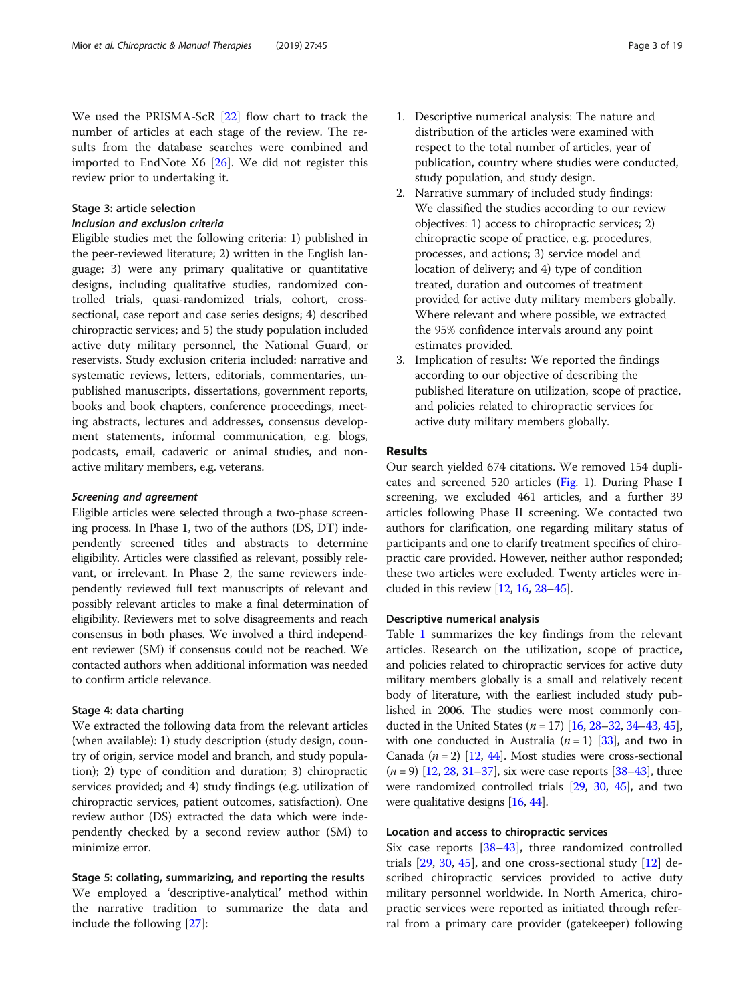# Stage 3: article selection

# Inclusion and exclusion criteria

Eligible studies met the following criteria: 1) published in the peer-reviewed literature; 2) written in the English language; 3) were any primary qualitative or quantitative designs, including qualitative studies, randomized controlled trials, quasi-randomized trials, cohort, crosssectional, case report and case series designs; 4) described chiropractic services; and 5) the study population included active duty military personnel, the National Guard, or reservists. Study exclusion criteria included: narrative and systematic reviews, letters, editorials, commentaries, unpublished manuscripts, dissertations, government reports, books and book chapters, conference proceedings, meeting abstracts, lectures and addresses, consensus development statements, informal communication, e.g. blogs, podcasts, email, cadaveric or animal studies, and nonactive military members, e.g. veterans.

### Screening and agreement

Eligible articles were selected through a two-phase screening process. In Phase 1, two of the authors (DS, DT) independently screened titles and abstracts to determine eligibility. Articles were classified as relevant, possibly relevant, or irrelevant. In Phase 2, the same reviewers independently reviewed full text manuscripts of relevant and possibly relevant articles to make a final determination of eligibility. Reviewers met to solve disagreements and reach consensus in both phases. We involved a third independent reviewer (SM) if consensus could not be reached. We contacted authors when additional information was needed to confirm article relevance.

### Stage 4: data charting

We extracted the following data from the relevant articles (when available): 1) study description (study design, country of origin, service model and branch, and study population); 2) type of condition and duration; 3) chiropractic services provided; and 4) study findings (e.g. utilization of chiropractic services, patient outcomes, satisfaction). One review author (DS) extracted the data which were independently checked by a second review author (SM) to minimize error.

Stage 5: collating, summarizing, and reporting the results We employed a 'descriptive-analytical' method within the narrative tradition to summarize the data and include the following [\[27\]](#page-18-0):

- 1. Descriptive numerical analysis: The nature and distribution of the articles were examined with respect to the total number of articles, year of publication, country where studies were conducted, study population, and study design.
- 2. Narrative summary of included study findings: We classified the studies according to our review objectives: 1) access to chiropractic services; 2) chiropractic scope of practice, e.g. procedures, processes, and actions; 3) service model and location of delivery; and 4) type of condition treated, duration and outcomes of treatment provided for active duty military members globally. Where relevant and where possible, we extracted the 95% confidence intervals around any point estimates provided.
- 3. Implication of results: We reported the findings according to our objective of describing the published literature on utilization, scope of practice, and policies related to chiropractic services for active duty military members globally.

# Results

Our search yielded 674 citations. We removed 154 duplicates and screened 520 articles [\(Fig](#page-3-0). 1). During Phase I screening, we excluded 461 articles, and a further 39 articles following Phase II screening. We contacted two authors for clarification, one regarding military status of participants and one to clarify treatment specifics of chiropractic care provided. However, neither author responded; these two articles were excluded. Twenty articles were included in this review [\[12,](#page-17-0) [16](#page-17-0), [28](#page-18-0)–[45\]](#page-18-0).

# Descriptive numerical analysis

Table [1](#page-4-0) summarizes the key findings from the relevant articles. Research on the utilization, scope of practice, and policies related to chiropractic services for active duty military members globally is a small and relatively recent body of literature, with the earliest included study published in 2006. The studies were most commonly conducted in the United States ( $n = 17$ ) [[16](#page-17-0), [28](#page-18-0)–[32,](#page-18-0) [34](#page-18-0)–[43](#page-18-0), [45](#page-18-0)], with one conducted in Australia  $(n = 1)$  [\[33\]](#page-18-0), and two in Canada  $(n = 2)$  [[12](#page-17-0), [44](#page-18-0)]. Most studies were cross-sectional  $(n = 9)$  [\[12](#page-17-0), [28,](#page-18-0) [31](#page-18-0)–[37](#page-18-0)], six were case reports [[38](#page-18-0)–[43](#page-18-0)], three were randomized controlled trials [\[29,](#page-18-0) [30](#page-18-0), [45](#page-18-0)], and two were qualitative designs [[16](#page-17-0), [44](#page-18-0)].

# Location and access to chiropractic services

Six case reports [\[38](#page-18-0)–[43](#page-18-0)], three randomized controlled trials [\[29](#page-18-0), [30](#page-18-0), [45\]](#page-18-0), and one cross-sectional study [\[12\]](#page-17-0) described chiropractic services provided to active duty military personnel worldwide. In North America, chiropractic services were reported as initiated through referral from a primary care provider (gatekeeper) following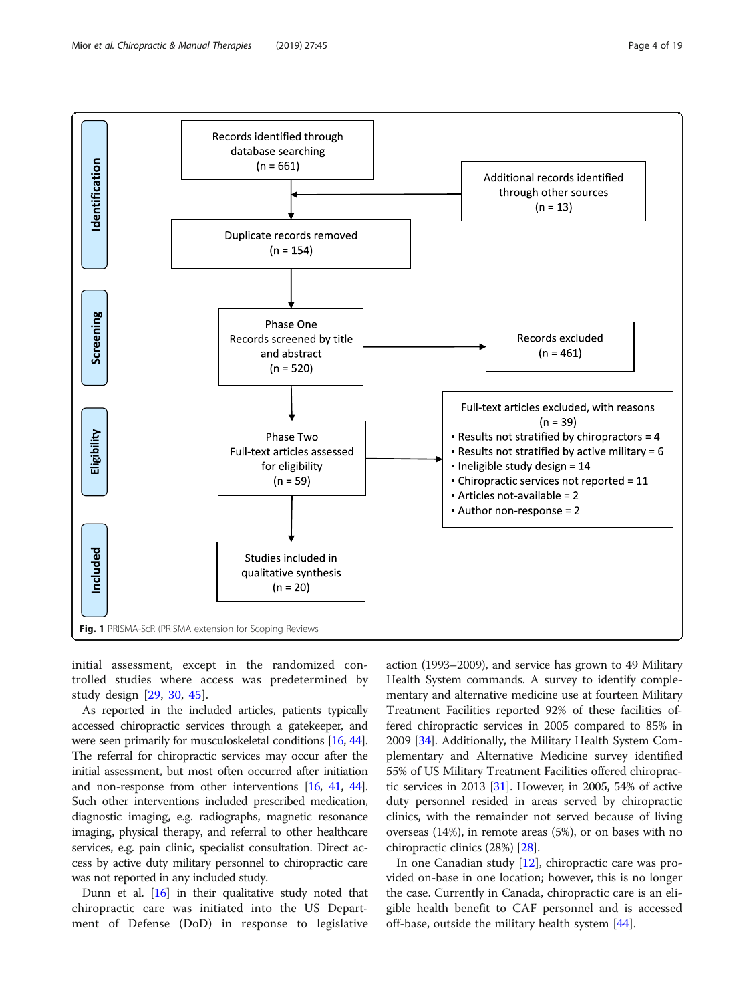<span id="page-3-0"></span>

initial assessment, except in the randomized controlled studies where access was predetermined by study design [[29,](#page-18-0) [30,](#page-18-0) [45](#page-18-0)].

As reported in the included articles, patients typically accessed chiropractic services through a gatekeeper, and were seen primarily for musculoskeletal conditions [[16](#page-17-0), [44](#page-18-0)]. The referral for chiropractic services may occur after the initial assessment, but most often occurred after initiation and non-response from other interventions [\[16,](#page-17-0) [41](#page-18-0), [44](#page-18-0)]. Such other interventions included prescribed medication, diagnostic imaging, e.g. radiographs, magnetic resonance imaging, physical therapy, and referral to other healthcare services, e.g. pain clinic, specialist consultation. Direct access by active duty military personnel to chiropractic care was not reported in any included study.

Dunn et al. [[16](#page-17-0)] in their qualitative study noted that chiropractic care was initiated into the US Department of Defense (DoD) in response to legislative

action (1993–2009), and service has grown to 49 Military Health System commands. A survey to identify complementary and alternative medicine use at fourteen Military Treatment Facilities reported 92% of these facilities offered chiropractic services in 2005 compared to 85% in 2009 [\[34\]](#page-18-0). Additionally, the Military Health System Complementary and Alternative Medicine survey identified 55% of US Military Treatment Facilities offered chiropractic services in 2013 [[31](#page-18-0)]. However, in 2005, 54% of active duty personnel resided in areas served by chiropractic clinics, with the remainder not served because of living overseas (14%), in remote areas (5%), or on bases with no chiropractic clinics (28%) [\[28\]](#page-18-0).

In one Canadian study [\[12](#page-17-0)], chiropractic care was provided on-base in one location; however, this is no longer the case. Currently in Canada, chiropractic care is an eligible health benefit to CAF personnel and is accessed off-base, outside the military health system  $[44]$  $[44]$ .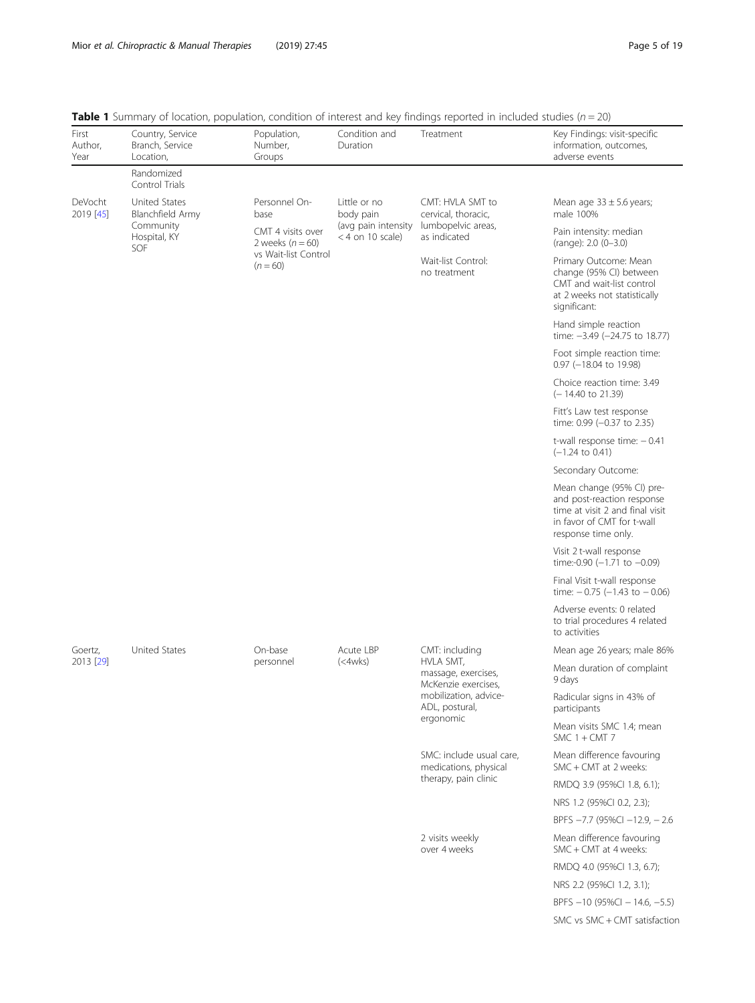<span id="page-4-0"></span>

| First<br>Author,<br>Year | Country, Service<br>Branch, Service<br>Location, | Population,<br>Number,<br>Groups        | Condition and<br>Duration              | Treatment                                               | Key Findings: visit-specific<br>information, outcomes,<br>adverse events                                                      |                                                                                                                                                 |  |
|--------------------------|--------------------------------------------------|-----------------------------------------|----------------------------------------|---------------------------------------------------------|-------------------------------------------------------------------------------------------------------------------------------|-------------------------------------------------------------------------------------------------------------------------------------------------|--|
|                          | Randomized<br>Control Trials                     |                                         |                                        |                                                         |                                                                                                                               |                                                                                                                                                 |  |
| DeVocht<br>2019 [45]     | <b>United States</b><br>Blanchfield Army         | Personnel On-<br>base                   | Little or no<br>body pain              | CMT: HVLA SMT to<br>cervical, thoracic,                 | Mean age $33 \pm 5.6$ years;<br>male 100%                                                                                     |                                                                                                                                                 |  |
|                          | Community<br>Hospital, KY<br>SOF                 | CMT 4 visits over<br>2 weeks $(n = 60)$ | (avg pain intensity<br><4 on 10 scale) | lumbopelvic areas,<br>as indicated                      | Pain intensity: median<br>(range): 2.0 (0-3.0)                                                                                |                                                                                                                                                 |  |
|                          |                                                  | vs Wait-list Control<br>$(n = 60)$      |                                        | Wait-list Control:<br>no treatment                      | Primary Outcome: Mean<br>change (95% CI) between<br>CMT and wait-list control<br>at 2 weeks not statistically<br>significant: |                                                                                                                                                 |  |
|                          |                                                  |                                         |                                        |                                                         | Hand simple reaction<br>time: -3.49 (-24.75 to 18.77)                                                                         |                                                                                                                                                 |  |
|                          |                                                  |                                         |                                        |                                                         | Foot simple reaction time:<br>0.97 (-18.04 to 19.98)                                                                          |                                                                                                                                                 |  |
|                          |                                                  |                                         |                                        |                                                         | Choice reaction time: 3.49<br>$(-14.40 \text{ to } 21.39)$                                                                    |                                                                                                                                                 |  |
|                          |                                                  |                                         |                                        |                                                         | Fitt's Law test response<br>time: 0.99 (-0.37 to 2.35)                                                                        |                                                                                                                                                 |  |
|                          |                                                  |                                         |                                        |                                                         | t-wall response time: $-0.41$<br>$(-1.24 \text{ to } 0.41)$                                                                   |                                                                                                                                                 |  |
|                          |                                                  |                                         |                                        |                                                         | Secondary Outcome:                                                                                                            |                                                                                                                                                 |  |
|                          |                                                  |                                         |                                        |                                                         |                                                                                                                               | Mean change (95% CI) pre-<br>and post-reaction response<br>time at visit 2 and final visit<br>in favor of CMT for t-wall<br>response time only. |  |
|                          |                                                  |                                         |                                        |                                                         |                                                                                                                               | Visit 2 t-wall response<br>time:-0.90 $(-1.71$ to $-0.09)$                                                                                      |  |
|                          |                                                  |                                         |                                        |                                                         | Final Visit t-wall response<br>time: $-0.75$ ( $-1.43$ to $-0.06$ )                                                           |                                                                                                                                                 |  |
|                          |                                                  |                                         |                                        |                                                         | Adverse events: 0 related<br>to trial procedures 4 related<br>to activities                                                   |                                                                                                                                                 |  |
| Goertz,                  | United States                                    | On-base                                 | Acute LBP                              | CMT: including                                          | Mean age 26 years; male 86%                                                                                                   |                                                                                                                                                 |  |
| 2013 [29]                |                                                  | personnel                               | $(<$ 4wks $)$                          | HVLA SMT,<br>massage, exercises,<br>McKenzie exercises, | Mean duration of complaint<br>9 days                                                                                          |                                                                                                                                                 |  |
|                          |                                                  |                                         |                                        | mobilization, advice-<br>ADL, postural,                 | Radicular signs in 43% of<br>participants                                                                                     |                                                                                                                                                 |  |
|                          |                                                  |                                         |                                        | ergonomic                                               | Mean visits SMC 1.4; mean<br>SMC $1 + CMT$ 7                                                                                  |                                                                                                                                                 |  |
|                          |                                                  |                                         |                                        | SMC: include usual care.<br>medications, physical       | Mean difference favouring<br>SMC + CMT at 2 weeks:                                                                            |                                                                                                                                                 |  |
|                          |                                                  |                                         |                                        | therapy, pain clinic                                    | RMDQ 3.9 (95%Cl 1.8, 6.1);                                                                                                    |                                                                                                                                                 |  |
|                          |                                                  |                                         |                                        |                                                         | NRS 1.2 (95%CI 0.2, 2.3);                                                                                                     |                                                                                                                                                 |  |
|                          |                                                  |                                         |                                        |                                                         | BPFS $-7.7$ (95%Cl $-12.9$ , $-2.6$                                                                                           |                                                                                                                                                 |  |
|                          |                                                  |                                         |                                        | 2 visits weekly<br>over 4 weeks                         | Mean difference favouring<br>SMC + CMT at 4 weeks:                                                                            |                                                                                                                                                 |  |
|                          |                                                  |                                         |                                        |                                                         | RMDQ 4.0 (95%Cl 1.3, 6.7);                                                                                                    |                                                                                                                                                 |  |
|                          |                                                  |                                         |                                        |                                                         | NRS 2.2 (95%Cl 1.2, 3.1);                                                                                                     |                                                                                                                                                 |  |
|                          |                                                  |                                         |                                        |                                                         | BPFS $-10$ (95%Cl $-14.6, -5.5$ )                                                                                             |                                                                                                                                                 |  |

SMC vs SMC + CMT satisfaction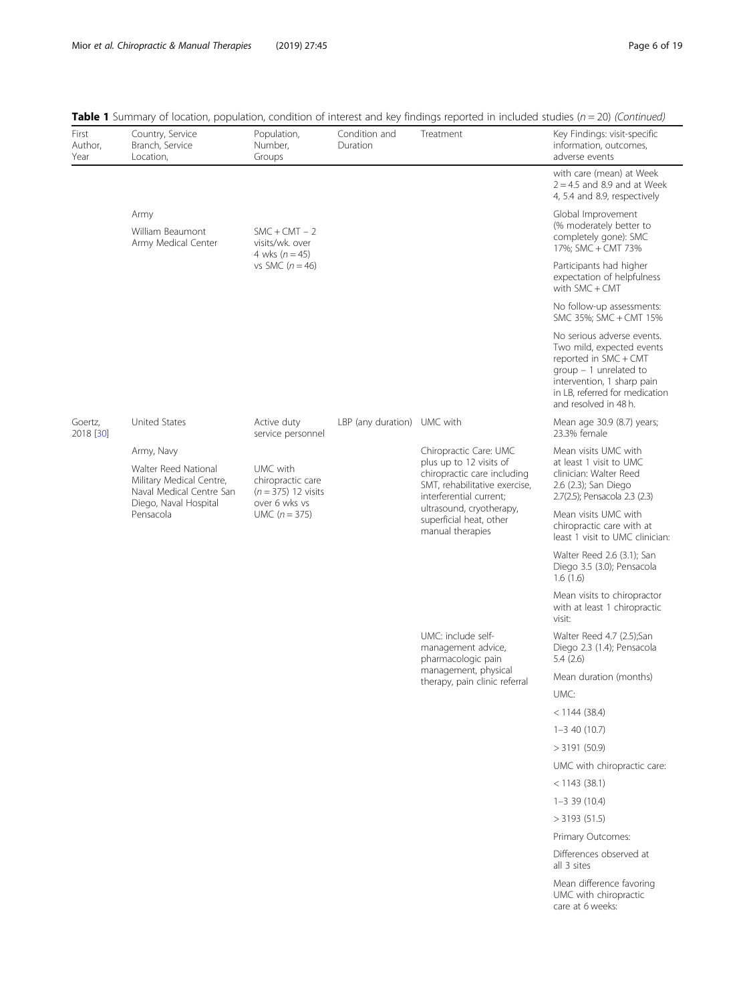| First<br>Author,<br>Year | Country, Service<br>Branch, Service<br>Location,                                           | Population,<br>Number,<br>Groups                                        | Condition and<br>Duration   | and I sammary or rocation, population, containers or interest and hey midnigs reported in included studies (i) zo, (commuta)<br>Treatment    | Key Findings: visit-specific<br>information, outcomes,<br>adverse events                                                                                                                              |
|--------------------------|--------------------------------------------------------------------------------------------|-------------------------------------------------------------------------|-----------------------------|----------------------------------------------------------------------------------------------------------------------------------------------|-------------------------------------------------------------------------------------------------------------------------------------------------------------------------------------------------------|
|                          |                                                                                            |                                                                         |                             |                                                                                                                                              | with care (mean) at Week<br>$2 = 4.5$ and 8.9 and at Week<br>4, 5.4 and 8.9, respectively                                                                                                             |
|                          | Army<br>William Beaumont<br>Army Medical Center                                            | $SMC + CMT - 2$<br>visits/wk. over<br>4 wks ( $n = 45$ )                |                             |                                                                                                                                              | Global Improvement<br>(% moderately better to<br>completely gone): SMC<br>17%; SMC + CMT 73%                                                                                                          |
|                          |                                                                                            | vs SMC $(n=46)$                                                         |                             |                                                                                                                                              | Participants had higher<br>expectation of helpfulness<br>with SMC + CMT                                                                                                                               |
|                          |                                                                                            |                                                                         |                             |                                                                                                                                              | No follow-up assessments:<br>SMC 35%; SMC + CMT 15%                                                                                                                                                   |
|                          |                                                                                            |                                                                         |                             |                                                                                                                                              | No serious adverse events.<br>Two mild, expected events<br>reported in SMC + CMT<br>$group - 1$ unrelated to<br>intervention, 1 sharp pain<br>in LB, referred for medication<br>and resolved in 48 h. |
| Goertz,<br>2018 [30]     | <b>United States</b>                                                                       | Active duty<br>service personnel                                        | LBP (any duration) UMC with |                                                                                                                                              | Mean age 30.9 (8.7) years;<br>23.3% female                                                                                                                                                            |
|                          | Army, Navy<br>Walter Reed National<br>Military Medical Centre,<br>Naval Medical Centre San | UMC with<br>chiropractic care<br>$(n = 375)$ 12 visits<br>over 6 wks vs |                             | Chiropractic Care: UMC<br>plus up to 12 visits of<br>chiropractic care including<br>SMT, rehabilitative exercise,<br>interferential current; | Mean visits UMC with<br>at least 1 visit to UMC<br>clinician: Walter Reed<br>2.6 (2.3); San Diego<br>2.7(2.5); Pensacola 2.3 (2.3)                                                                    |
|                          | Diego, Naval Hospital<br>Pensacola                                                         | UMC $(n = 375)$                                                         |                             | ultrasound, cryotherapy,<br>superficial heat, other<br>manual therapies                                                                      | Mean visits UMC with<br>chiropractic care with at<br>least 1 visit to UMC clinician:                                                                                                                  |
|                          |                                                                                            |                                                                         |                             |                                                                                                                                              | Walter Reed 2.6 (3.1); San<br>Diego 3.5 (3.0); Pensacola<br>1.6(1.6)                                                                                                                                  |
|                          |                                                                                            |                                                                         |                             |                                                                                                                                              | Mean visits to chiropractor<br>with at least 1 chiropractic<br>visit:                                                                                                                                 |
|                          |                                                                                            |                                                                         |                             | UMC: include self-<br>management advice,<br>pharmacologic pain                                                                               | Walter Reed 4.7 (2.5);San<br>Diego 2.3 (1.4); Pensacola<br>5.4(2.6)                                                                                                                                   |
|                          |                                                                                            |                                                                         |                             | management, physical                                                                                                                         | Mean duration (months)                                                                                                                                                                                |
|                          |                                                                                            |                                                                         |                             | therapy, pain clinic referral                                                                                                                | UMC:                                                                                                                                                                                                  |
|                          |                                                                                            |                                                                         |                             |                                                                                                                                              | $<$ 1144 (38.4)                                                                                                                                                                                       |
|                          |                                                                                            |                                                                         |                             |                                                                                                                                              | $1 - 3$ 40 (10.7)                                                                                                                                                                                     |
|                          |                                                                                            |                                                                         |                             |                                                                                                                                              | $>$ 3191 (50.9)                                                                                                                                                                                       |
|                          |                                                                                            |                                                                         |                             |                                                                                                                                              | UMC with chiropractic care:                                                                                                                                                                           |
|                          |                                                                                            |                                                                         |                             |                                                                                                                                              | $<$ 1143 (38.1)                                                                                                                                                                                       |
|                          |                                                                                            |                                                                         |                             |                                                                                                                                              | $1 - 339(10.4)$                                                                                                                                                                                       |
|                          |                                                                                            |                                                                         |                             |                                                                                                                                              | $>$ 3193 (51.5)                                                                                                                                                                                       |
|                          |                                                                                            |                                                                         |                             |                                                                                                                                              | Primary Outcomes:                                                                                                                                                                                     |
|                          |                                                                                            |                                                                         |                             |                                                                                                                                              | Differences observed at<br>all 3 sites                                                                                                                                                                |
|                          |                                                                                            |                                                                         |                             |                                                                                                                                              | Mean difference favoring<br>UMC with chiropractic<br>care at 6 weeks:                                                                                                                                 |

| <b>Table 1</b> Summary of location, population, condition of interest and key findings reported in included studies ( $n = 20$ ) (Continued) |  |  |
|----------------------------------------------------------------------------------------------------------------------------------------------|--|--|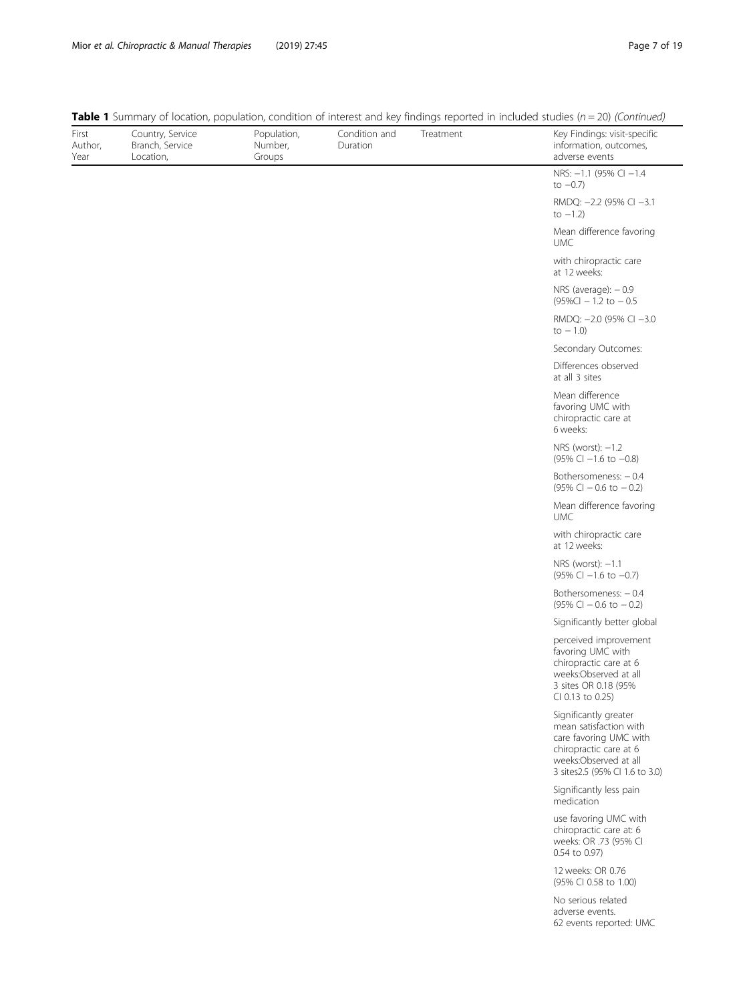| First<br>Author,<br>Year | Country, Service<br>Branch, Service<br>Location, | Population,<br>Number,<br>Groups | Condition and<br>Duration | Treatment | Key Findings: visit-specific<br>information, outcomes,<br>adverse events                                                                                       |
|--------------------------|--------------------------------------------------|----------------------------------|---------------------------|-----------|----------------------------------------------------------------------------------------------------------------------------------------------------------------|
|                          |                                                  |                                  |                           |           | NRS: $-1.1$ (95% CI $-1.4$ )<br>to $-0.7$ )                                                                                                                    |
|                          |                                                  |                                  |                           |           | RMDQ: -2.2 (95% CI -3.1<br>$to -1.2$                                                                                                                           |
|                          |                                                  |                                  |                           |           | Mean difference favoring<br><b>UMC</b>                                                                                                                         |
|                          |                                                  |                                  |                           |           | with chiropractic care<br>at 12 weeks:                                                                                                                         |
|                          |                                                  |                                  |                           |           | NRS (average): $-0.9$<br>$(95\%CI - 1.2$ to $-0.5$                                                                                                             |
|                          |                                                  |                                  |                           |           | RMDQ: -2.0 (95% CI -3.0<br>$to -1.0$                                                                                                                           |
|                          |                                                  |                                  |                           |           | Secondary Outcomes:                                                                                                                                            |
|                          |                                                  |                                  |                           |           | Differences observed<br>at all 3 sites                                                                                                                         |
|                          |                                                  |                                  |                           |           | Mean difference<br>favoring UMC with<br>chiropractic care at<br>6 weeks:                                                                                       |
|                          |                                                  |                                  |                           |           | NRS (worst): $-1.2$<br>$(95\%$ Cl $-1.6$ to $-0.8)$                                                                                                            |
|                          |                                                  |                                  |                           |           | Bothersomeness: - 0.4<br>$(95\%$ Cl - 0.6 to - 0.2)                                                                                                            |
|                          |                                                  |                                  |                           |           | Mean difference favoring<br><b>UMC</b>                                                                                                                         |
|                          |                                                  |                                  |                           |           | with chiropractic care<br>at 12 weeks:                                                                                                                         |
|                          |                                                  |                                  |                           |           | NRS (worst): $-1.1$<br>$(95\%$ Cl $-1.6$ to $-0.7)$                                                                                                            |
|                          |                                                  |                                  |                           |           | Bothersomeness: - 0.4<br>$(95\%$ Cl - 0.6 to - 0.2)                                                                                                            |
|                          |                                                  |                                  |                           |           | Significantly better global                                                                                                                                    |
|                          |                                                  |                                  |                           |           | perceived improvement<br>favoring UMC with<br>chiropractic care at 6<br>weeks:Observed at all<br>3 sites OR 0.18 (95%<br>CI 0.13 to 0.25)                      |
|                          |                                                  |                                  |                           |           | Significantly greater<br>mean satisfaction with<br>care favoring UMC with<br>chiropractic care at 6<br>weeks:Observed at all<br>3 sites2.5 (95% CI 1.6 to 3.0) |
|                          |                                                  |                                  |                           |           | Significantly less pain<br>medication                                                                                                                          |
|                          |                                                  |                                  |                           |           | use favoring UMC with<br>chiropractic care at: 6<br>weeks: OR .73 (95% CI<br>0.54 to 0.97)                                                                     |
|                          |                                                  |                                  |                           |           | 12 weeks: OR 0.76<br>(95% CI 0.58 to 1.00)                                                                                                                     |
|                          |                                                  |                                  |                           |           | No serious related<br>adverse events.<br>62 events reported: UMC                                                                                               |

**Table 1** Summary of location, population, condition of interest and key findings reported in included studies ( $n = 20$ ) (Continued)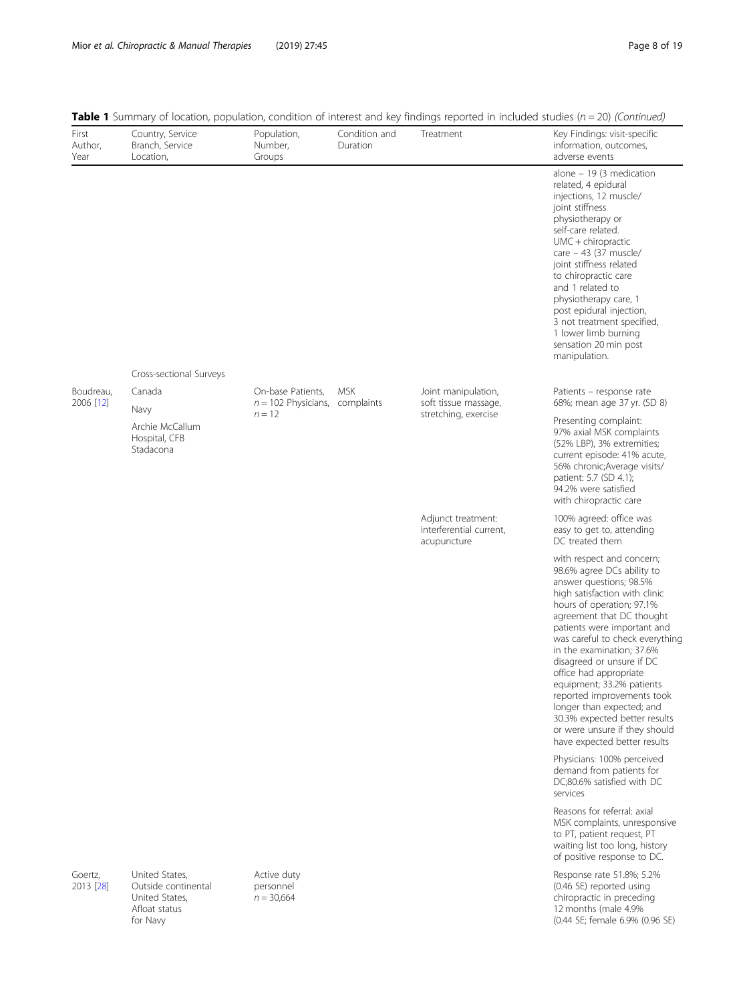(0.44 SE; female 6.9% (0.96 SE)

| First<br>Author,<br>Year | . .<br>Country, Service<br>Branch, Service<br>Location,                  | Population,<br>Number,<br>Groups                      | Condition and<br>Duration | Treatment                                                    | Key Findings: visit-specific<br>information, outcomes,<br>adverse events                                                                                                                                                                                                                                                                                                                                                                                                                                                      |
|--------------------------|--------------------------------------------------------------------------|-------------------------------------------------------|---------------------------|--------------------------------------------------------------|-------------------------------------------------------------------------------------------------------------------------------------------------------------------------------------------------------------------------------------------------------------------------------------------------------------------------------------------------------------------------------------------------------------------------------------------------------------------------------------------------------------------------------|
|                          |                                                                          |                                                       |                           |                                                              | alone $-19$ (3 medication<br>related, 4 epidural<br>injections, 12 muscle/<br>joint stiffness<br>physiotherapy or<br>self-care related.<br>$UMC + chiropractic$<br>care $-43$ (37 muscle/<br>joint stiffness related<br>to chiropractic care<br>and 1 related to<br>physiotherapy care, 1<br>post epidural injection,<br>3 not treatment specified,<br>1 lower limb burning<br>sensation 20 min post<br>manipulation.                                                                                                         |
| Boudreau,<br>2006 [12]   | Cross-sectional Surveys<br>Canada                                        | On-base Patients,<br>$n = 102$ Physicians, complaints | <b>MSK</b>                | Joint manipulation,<br>soft tissue massage,                  | Patients - response rate<br>68%; mean age 37 yr. (SD 8)                                                                                                                                                                                                                                                                                                                                                                                                                                                                       |
|                          | Archie McCallum<br>Hospital, CFB<br>Stadacona                            | Navy<br>$n = 12$                                      |                           | stretching, exercise                                         | Presenting complaint:<br>97% axial MSK complaints<br>(52% LBP), 3% extremities;<br>current episode: 41% acute,<br>56% chronic; Average visits/<br>patient: 5.7 (SD 4.1);<br>94.2% were satisfied<br>with chiropractic care                                                                                                                                                                                                                                                                                                    |
|                          |                                                                          |                                                       |                           | Adjunct treatment:<br>interferential current,<br>acupuncture | 100% agreed: office was<br>easy to get to, attending<br>DC treated them                                                                                                                                                                                                                                                                                                                                                                                                                                                       |
|                          |                                                                          |                                                       |                           |                                                              | with respect and concern;<br>98.6% agree DCs ability to<br>answer questions; 98.5%<br>high satisfaction with clinic<br>hours of operation; 97.1%<br>agreement that DC thought<br>patients were important and<br>was careful to check everything<br>in the examination; 37.6%<br>disagreed or unsure if DC<br>office had appropriate<br>equipment; 33.2% patients<br>reported improvements took<br>longer than expected; and<br>30.3% expected better results<br>or were unsure if they should<br>have expected better results |
|                          |                                                                          |                                                       |                           |                                                              | Physicians: 100% perceived<br>demand from patients for<br>DC;80.6% satisfied with DC<br>services                                                                                                                                                                                                                                                                                                                                                                                                                              |
|                          |                                                                          |                                                       |                           |                                                              | Reasons for referral: axial<br>MSK complaints, unresponsive<br>to PT, patient request, PT<br>waiting list too long, history<br>of positive response to DC.                                                                                                                                                                                                                                                                                                                                                                    |
| Goertz,<br>2013 [28]     | United States,<br>Outside continental<br>United States,<br>Afloat status | Active duty<br>personnel<br>$n = 30,664$              |                           |                                                              | Response rate 51.8%; 5.2%<br>(0.46 SE) reported using<br>chiropractic in preceding<br>12 months (male 4.9%                                                                                                                                                                                                                                                                                                                                                                                                                    |

**Table 1** Summary of location, population, condition of interest and key findings reported in included studies ( $n = 20$ ) (Continued)

for Navy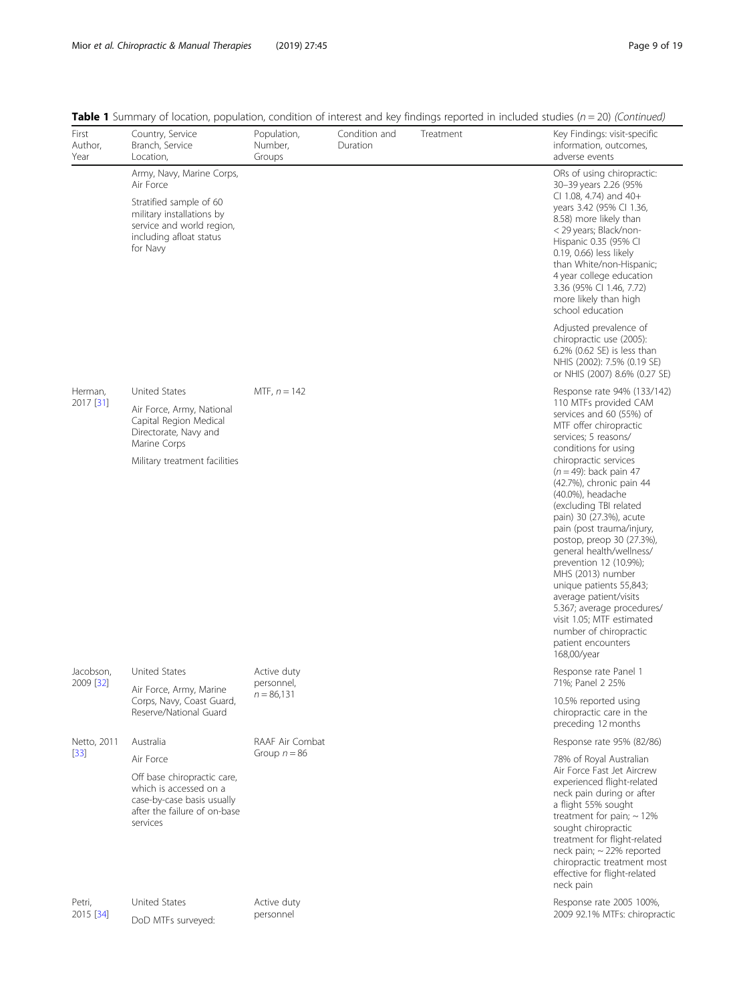| First<br>Author,<br>Year | Country, Service<br>Branch, Service<br>Location,                                                                                                                   | Population,<br>Number,<br>Groups          | Condition and<br>Duration | Treatment | Key Findings: visit-specific<br>information, outcomes,<br>adverse events                                                                                                                                                                                                                                                                                                                                                                                                                                                                                                                                                                   |
|--------------------------|--------------------------------------------------------------------------------------------------------------------------------------------------------------------|-------------------------------------------|---------------------------|-----------|--------------------------------------------------------------------------------------------------------------------------------------------------------------------------------------------------------------------------------------------------------------------------------------------------------------------------------------------------------------------------------------------------------------------------------------------------------------------------------------------------------------------------------------------------------------------------------------------------------------------------------------------|
|                          | Army, Navy, Marine Corps,<br>Air Force<br>Stratified sample of 60<br>military installations by<br>service and world region,<br>including afloat status<br>for Navy |                                           |                           |           | ORs of using chiropractic:<br>30-39 years 2.26 (95%<br>CI 1.08, 4.74) and $40+$<br>years 3.42 (95% Cl 1.36,<br>8.58) more likely than<br>< 29 years; Black/non-<br>Hispanic 0.35 (95% CI<br>0.19, 0.66) less likely<br>than White/non-Hispanic;<br>4 year college education<br>3.36 (95% CI 1.46, 7.72)<br>more likely than high<br>school education                                                                                                                                                                                                                                                                                       |
|                          |                                                                                                                                                                    |                                           |                           |           | Adjusted prevalence of<br>chiropractic use (2005):<br>6.2% (0.62 SE) is less than<br>NHIS (2002): 7.5% (0.19 SE)<br>or NHIS (2007) 8.6% (0.27 SE)                                                                                                                                                                                                                                                                                                                                                                                                                                                                                          |
| Herman,<br>2017 [31]     | United States<br>Air Force, Army, National<br>Capital Region Medical<br>Directorate, Navy and<br>Marine Corps<br>Military treatment facilities                     | MTF, $n = 142$                            |                           |           | Response rate 94% (133/142)<br>110 MTFs provided CAM<br>services and 60 (55%) of<br>MTF offer chiropractic<br>services; 5 reasons/<br>conditions for using<br>chiropractic services<br>$(n = 49)$ : back pain 47<br>(42.7%), chronic pain 44<br>(40.0%), headache<br>(excluding TBI related<br>pain) 30 (27.3%), acute<br>pain (post trauma/injury,<br>postop, preop 30 (27.3%),<br>general health/wellness/<br>prevention 12 (10.9%);<br>MHS (2013) number<br>unique patients 55,843;<br>average patient/visits<br>5.367; average procedures/<br>visit 1.05; MTF estimated<br>number of chiropractic<br>patient encounters<br>168,00/year |
| Jacobson,<br>2009 [32]   | United States<br>Air Force, Army, Marine<br>Corps, Navy, Coast Guard,                                                                                              | Active duty<br>personnel,<br>$n = 86,131$ |                           |           | Response rate Panel 1<br>71%; Panel 2 25%<br>10.5% reported using                                                                                                                                                                                                                                                                                                                                                                                                                                                                                                                                                                          |
|                          | Reserve/National Guard                                                                                                                                             |                                           |                           |           | chiropractic care in the<br>preceding 12 months                                                                                                                                                                                                                                                                                                                                                                                                                                                                                                                                                                                            |
| Netto, 2011              | Australia                                                                                                                                                          | RAAF Air Combat                           |                           |           | Response rate 95% (82/86)                                                                                                                                                                                                                                                                                                                                                                                                                                                                                                                                                                                                                  |
| $[33]$                   | Air Force                                                                                                                                                          | Group $n = 86$                            |                           |           | 78% of Royal Australian                                                                                                                                                                                                                                                                                                                                                                                                                                                                                                                                                                                                                    |
|                          | Off base chiropractic care,<br>which is accessed on a<br>case-by-case basis usually<br>after the failure of on-base<br>services                                    |                                           |                           |           | Air Force Fast Jet Aircrew<br>experienced flight-related<br>neck pain during or after<br>a flight 55% sought<br>treatment for pain; $\sim$ 12%<br>sought chiropractic<br>treatment for flight-related<br>neck pain; $\sim$ 22% reported<br>chiropractic treatment most<br>effective for flight-related<br>neck pain                                                                                                                                                                                                                                                                                                                        |
| Petri,                   | United States                                                                                                                                                      | Active duty                               |                           |           | Response rate 2005 100%,                                                                                                                                                                                                                                                                                                                                                                                                                                                                                                                                                                                                                   |

Table 1 Summary of location, population, condition of interest and key findings reported in included studies (n = 20) (Continued)

2015 [\[34](#page-18-0)]

2009 92.1% MTFs: chiropractic DoD MTFs surveyed:

personnel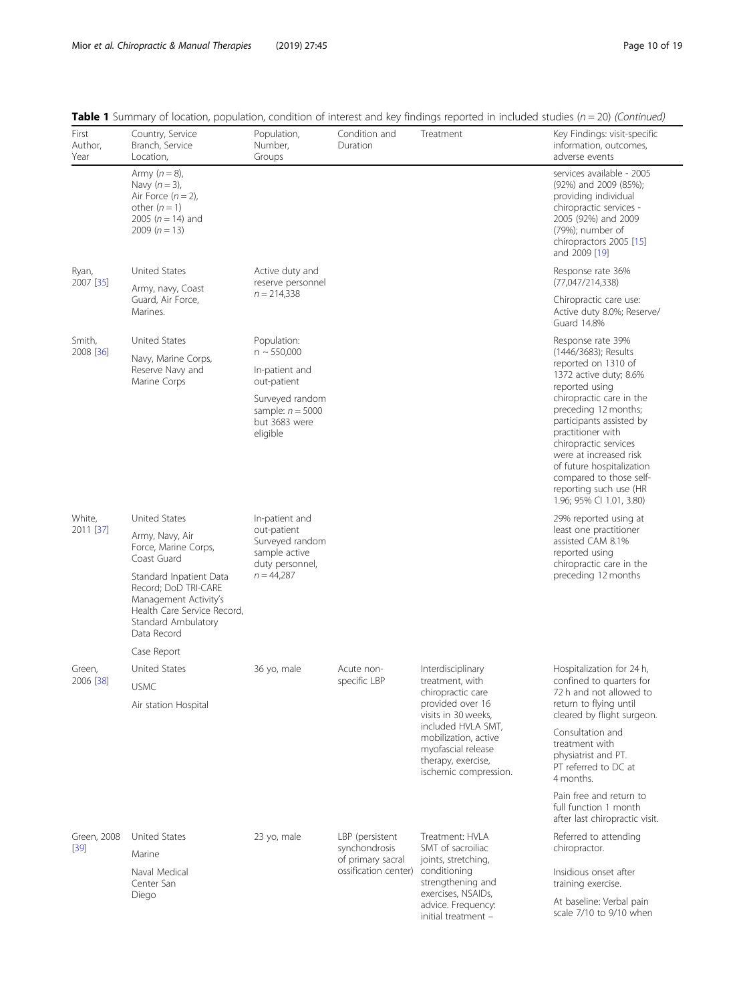| First<br>Author,<br>Year | Country, Service<br>Branch, Service<br>Location,                                                                                              | Population,<br>Number,<br>Groups                                   | Condition and<br>Duration                 | Treatment                                                                                                       | Key Findings: visit-specific<br>information, outcomes,<br>adverse events                                                                                                                                                                                                             |
|--------------------------|-----------------------------------------------------------------------------------------------------------------------------------------------|--------------------------------------------------------------------|-------------------------------------------|-----------------------------------------------------------------------------------------------------------------|--------------------------------------------------------------------------------------------------------------------------------------------------------------------------------------------------------------------------------------------------------------------------------------|
|                          | Army $(n = 8)$ ,<br>Navy $(n=3)$ ,<br>Air Force $(n = 2)$ ,<br>other $(n = 1)$<br>2005 ( $n = 14$ ) and<br>$2009(n = 13)$                     |                                                                    |                                           |                                                                                                                 | services available - 2005<br>(92%) and 2009 (85%);<br>providing individual<br>chiropractic services -<br>2005 (92%) and 2009<br>(79%); number of<br>chiropractors 2005 [15]<br>and 2009 [19]                                                                                         |
| Ryan,<br>2007 [35]       | United States                                                                                                                                 | Active duty and<br>reserve personnel                               |                                           |                                                                                                                 | Response rate 36%<br>(77,047/214,338)                                                                                                                                                                                                                                                |
|                          | Army, navy, Coast<br>Guard, Air Force,<br>Marines.                                                                                            | $n = 214,338$                                                      |                                           |                                                                                                                 | Chiropractic care use:<br>Active duty 8.0%; Reserve/<br>Guard 14.8%                                                                                                                                                                                                                  |
| Smith,<br>2008 [36]      | United States                                                                                                                                 | Population:<br>$n \sim 550,000$                                    |                                           |                                                                                                                 | Response rate 39%<br>(1446/3683); Results                                                                                                                                                                                                                                            |
|                          | Navy, Marine Corps,<br>Reserve Navy and<br>Marine Corps                                                                                       | In-patient and<br>out-patient                                      |                                           |                                                                                                                 | reported on 1310 of<br>1372 active duty; 8.6%                                                                                                                                                                                                                                        |
|                          |                                                                                                                                               | Surveyed random<br>sample: $n = 5000$<br>but 3683 were<br>eligible |                                           |                                                                                                                 | reported using<br>chiropractic care in the<br>preceding 12 months;<br>participants assisted by<br>practitioner with<br>chiropractic services<br>were at increased risk<br>of future hospitalization<br>compared to those self-<br>reporting such use (HR<br>1.96; 95% CI 1.01, 3.80) |
| White,<br>2011 [37]      | United States                                                                                                                                 | In-patient and<br>out-patient                                      |                                           |                                                                                                                 | 29% reported using at<br>least one practitioner                                                                                                                                                                                                                                      |
|                          | Army, Navy, Air<br>Force, Marine Corps,<br>Coast Guard                                                                                        | Surveyed random<br>sample active                                   |                                           |                                                                                                                 | assisted CAM 8.1%<br>reported using                                                                                                                                                                                                                                                  |
|                          | Standard Inpatient Data<br>Record; DoD TRI-CARE<br>Management Activity's<br>Health Care Service Record,<br>Standard Ambulatory<br>Data Record | duty personnel,<br>$n = 44,287$                                    |                                           |                                                                                                                 | chiropractic care in the<br>preceding 12 months                                                                                                                                                                                                                                      |
|                          | Case Report                                                                                                                                   |                                                                    |                                           |                                                                                                                 |                                                                                                                                                                                                                                                                                      |
| Green,<br>2006 [38]      | United States<br><b>USMC</b>                                                                                                                  | 36 yo, male                                                        | Acute non-<br>specific LBP                | Interdisciplinary<br>treatment, with                                                                            | Hospitalization for 24 h,<br>confined to quarters for                                                                                                                                                                                                                                |
|                          | Air station Hospital                                                                                                                          |                                                                    |                                           | chiropractic care<br>provided over 16<br>visits in 30 weeks,                                                    | 72 h and not allowed to<br>return to flying until<br>cleared by flight surgeon.                                                                                                                                                                                                      |
|                          |                                                                                                                                               |                                                                    |                                           | included HVLA SMT,<br>mobilization, active<br>myofascial release<br>therapy, exercise,<br>ischemic compression. | Consultation and<br>treatment with<br>physiatrist and PT.<br>PT referred to DC at<br>4 months.                                                                                                                                                                                       |
|                          |                                                                                                                                               |                                                                    |                                           |                                                                                                                 | Pain free and return to<br>full function 1 month<br>after last chiropractic visit.                                                                                                                                                                                                   |
| Green, 2008<br>$[39]$    | <b>United States</b><br>Marine                                                                                                                | 23 yo, male                                                        | LBP (persistent<br>synchondrosis          | Treatment: HVI A<br>SMT of sacroiliac                                                                           | Referred to attending<br>chiropractor.                                                                                                                                                                                                                                               |
|                          | Naval Medical<br>Center San                                                                                                                   |                                                                    | of primary sacral<br>ossification center) | joints, stretching,<br>conditioning<br>strengthening and                                                        | Insidious onset after<br>training exercise.                                                                                                                                                                                                                                          |
|                          | Diego                                                                                                                                         |                                                                    |                                           | exercises, NSAIDs,<br>advice. Frequency:<br>initial treatment -                                                 | At baseline: Verbal pain<br>scale 7/10 to 9/10 when                                                                                                                                                                                                                                  |

# **Table 1** Summary of location, population, condition of interest and key findings reported in included studies ( $n = 20$ ) (Continued)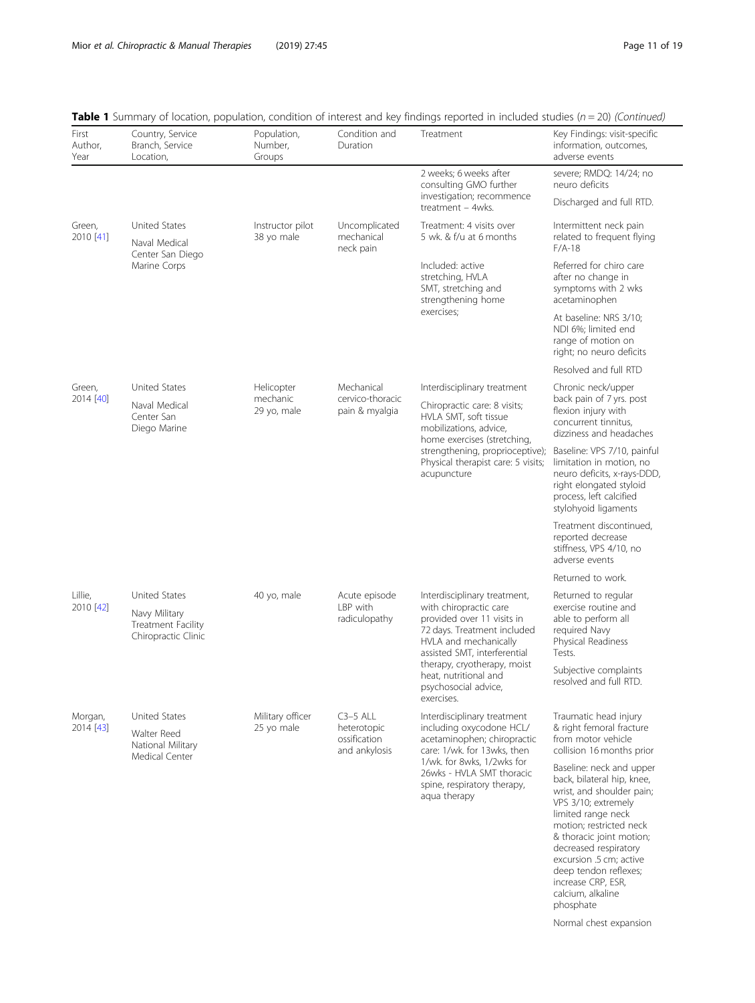| First<br>Author,<br>Year | Country, Service<br>Branch, Service<br>Location,                                                                                                                                                                                                                                                                          | Population,<br>Number,<br>Groups | Condition and<br>Duration                                                                                                | Treatment                                                                                                                                                                                                   | Key Findings: visit-specific<br>information, outcomes,<br>adverse events                                                                                             |
|--------------------------|---------------------------------------------------------------------------------------------------------------------------------------------------------------------------------------------------------------------------------------------------------------------------------------------------------------------------|----------------------------------|--------------------------------------------------------------------------------------------------------------------------|-------------------------------------------------------------------------------------------------------------------------------------------------------------------------------------------------------------|----------------------------------------------------------------------------------------------------------------------------------------------------------------------|
|                          |                                                                                                                                                                                                                                                                                                                           |                                  |                                                                                                                          | 2 weeks; 6 weeks after<br>consulting GMO further                                                                                                                                                            | severe; RMDQ: 14/24; no<br>neuro deficits                                                                                                                            |
|                          |                                                                                                                                                                                                                                                                                                                           |                                  |                                                                                                                          | investigation; recommence<br>treatment - 4wks.                                                                                                                                                              | Discharged and full RTD.                                                                                                                                             |
| Green,<br>2010 [41]      | United States<br>Naval Medical<br>Center San Diego                                                                                                                                                                                                                                                                        | Instructor pilot<br>38 yo male   | Uncomplicated<br>mechanical<br>neck pain                                                                                 | Treatment: 4 visits over<br>5 wk. & f/u at 6 months                                                                                                                                                         | Intermittent neck pain<br>related to frequent flying<br>$F/A-18$                                                                                                     |
|                          | Marine Corps                                                                                                                                                                                                                                                                                                              |                                  |                                                                                                                          | Included: active<br>stretching, HVLA<br>SMT, stretching and<br>strengthening home                                                                                                                           | Referred for chiro care<br>after no change in<br>symptoms with 2 wks<br>acetaminophen                                                                                |
|                          |                                                                                                                                                                                                                                                                                                                           |                                  |                                                                                                                          | exercises;                                                                                                                                                                                                  | At baseline: NRS 3/10;<br>NDI 6%; limited end<br>range of motion on<br>right; no neuro deficits                                                                      |
|                          |                                                                                                                                                                                                                                                                                                                           |                                  |                                                                                                                          |                                                                                                                                                                                                             | Resolved and full RTD                                                                                                                                                |
| Green,<br>2014 [40]      | United States<br>Mechanical<br>Helicopter<br>Interdisciplinary treatment<br>mechanic<br>cervico-thoracic<br>Naval Medical<br>Chiropractic care: 8 visits;<br>29 yo, male<br>pain & myalgia<br>Center San<br>HVLA SMT, soft tissue<br>Diego Marine<br>mobilizations, advice,<br>home exercises (stretching,<br>acupuncture |                                  | Chronic neck/upper<br>back pain of 7 yrs. post<br>flexion injury with<br>concurrent tinnitus,<br>dizziness and headaches |                                                                                                                                                                                                             |                                                                                                                                                                      |
|                          |                                                                                                                                                                                                                                                                                                                           |                                  |                                                                                                                          | strengthening, proprioceptive);<br>Physical therapist care: 5 visits;                                                                                                                                       | Baseline: VPS 7/10, painful<br>limitation in motion, no<br>neuro deficits, x-rays-DDD,<br>right elongated styloid<br>process, left calcified<br>stylohyoid ligaments |
|                          |                                                                                                                                                                                                                                                                                                                           |                                  |                                                                                                                          |                                                                                                                                                                                                             | Treatment discontinued,<br>reported decrease<br>stiffness, VPS 4/10, no<br>adverse events                                                                            |
|                          |                                                                                                                                                                                                                                                                                                                           |                                  |                                                                                                                          |                                                                                                                                                                                                             | Returned to work.                                                                                                                                                    |
| Lillie,<br>2010 [42]     | United States<br>Navy Military<br><b>Treatment Facility</b><br>Chiropractic Clinic                                                                                                                                                                                                                                        | 40 yo, male                      | Acute episode<br>LBP with<br>radiculopathy                                                                               | Interdisciplinary treatment,<br>with chiropractic care<br>provided over 11 visits in<br>72 days. Treatment included<br>HVLA and mechanically<br>assisted SMT, interferential<br>therapy, cryotherapy, moist | Returned to regular<br>exercise routine and<br>able to perform all<br>required Navy<br>Physical Readiness<br>Tests.                                                  |
|                          |                                                                                                                                                                                                                                                                                                                           |                                  |                                                                                                                          | heat, nutritional and<br>psychosocial advice,<br>exercises.                                                                                                                                                 | Subjective complaints<br>resolved and full RTD.                                                                                                                      |
| Morgan,<br>2014 [43]     | United States<br>Walter Reed<br>National Military<br>Medical Center                                                                                                                                                                                                                                                       | Military officer<br>25 yo male   |                                                                                                                          | Interdisciplinary treatment<br>including oxycodone HCL/<br>acetaminophen; chiropractic<br>care: 1/wk. for 13wks, then<br>1/wk. for 8wks, 1/2wks for                                                         | Traumatic head injury<br>& right femoral fracture<br>from motor vehicle<br>collision 16 months prior                                                                 |
|                          |                                                                                                                                                                                                                                                                                                                           |                                  |                                                                                                                          | 26wks - HVLA SMT thoracic<br>spine, respiratory therapy,<br>aqua therapy                                                                                                                                    | Baseline: neck and upper<br>back, bilateral hip, knee,<br>wrist, and shoulder pain;<br>VPS 3/10; extremely<br>limited range neck                                     |

Table 1 Summary of location, population, condition of interest and key findings reported in included studies (n = 20) (Continued)

Normal chest expansion

motion; restricted neck & thoracic joint motion; decreased respiratory excursion .5 cm; active deep tendon reflexes; increase CRP, ESR, calcium, alkaline phosphate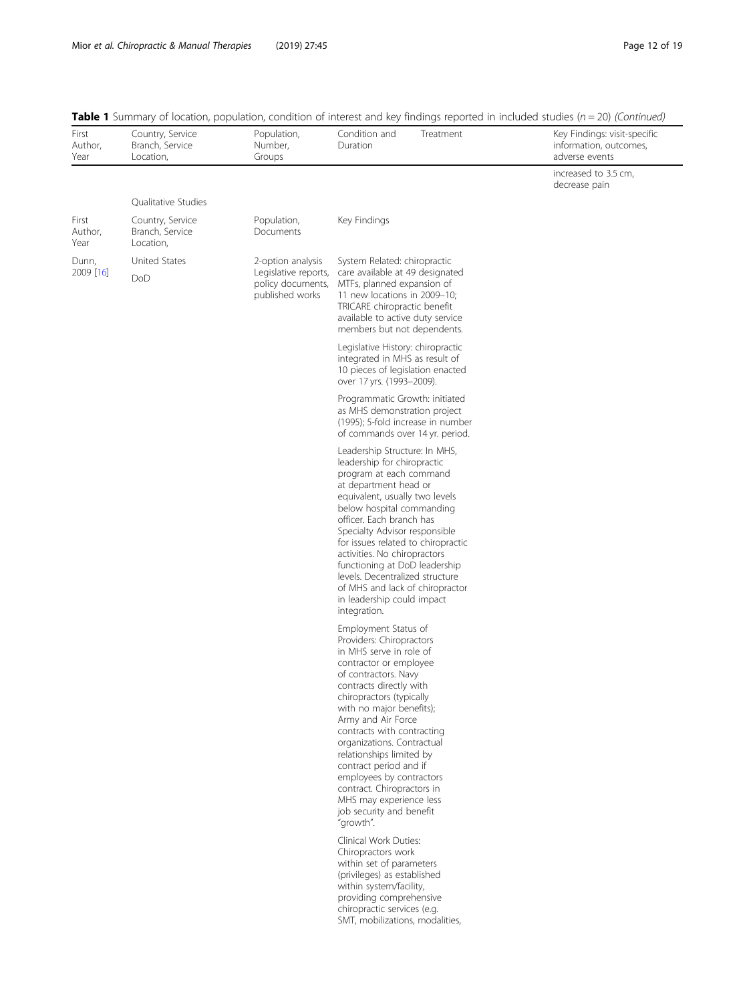| First<br>Author,<br>Year | Country, Service<br>Branch, Service<br>Location, | Population,<br>Number,<br>Groups                                                  | Condition and<br>Treatment<br>Duration                                                                                                                                                                                                                                                                                                                                                                                                                                                 | Key Findings: visit-specific<br>information, outcomes,<br>adverse events |
|--------------------------|--------------------------------------------------|-----------------------------------------------------------------------------------|----------------------------------------------------------------------------------------------------------------------------------------------------------------------------------------------------------------------------------------------------------------------------------------------------------------------------------------------------------------------------------------------------------------------------------------------------------------------------------------|--------------------------------------------------------------------------|
|                          |                                                  |                                                                                   |                                                                                                                                                                                                                                                                                                                                                                                                                                                                                        | increased to 3.5 cm,<br>decrease pain                                    |
|                          | Qualitative Studies                              |                                                                                   |                                                                                                                                                                                                                                                                                                                                                                                                                                                                                        |                                                                          |
| First<br>Author,<br>Year | Country, Service<br>Branch, Service<br>Location, | Population,<br>Documents                                                          | Key Findings                                                                                                                                                                                                                                                                                                                                                                                                                                                                           |                                                                          |
| Dunn,<br>2009 [16]       | United States<br>DoD                             | 2-option analysis<br>Legislative reports,<br>policy documents,<br>published works | System Related: chiropractic<br>care available at 49 designated<br>MTFs, planned expansion of<br>11 new locations in 2009-10;<br>TRICARE chiropractic benefit<br>available to active duty service<br>members but not dependents.                                                                                                                                                                                                                                                       |                                                                          |
|                          |                                                  |                                                                                   | Legislative History: chiropractic<br>integrated in MHS as result of<br>10 pieces of legislation enacted<br>over 17 yrs. (1993–2009).                                                                                                                                                                                                                                                                                                                                                   |                                                                          |
|                          |                                                  |                                                                                   | Programmatic Growth: initiated<br>as MHS demonstration project<br>(1995); 5-fold increase in number<br>of commands over 14 yr. period.                                                                                                                                                                                                                                                                                                                                                 |                                                                          |
|                          |                                                  |                                                                                   | Leadership Structure: In MHS,<br>leadership for chiropractic<br>program at each command<br>at department head or<br>equivalent, usually two levels<br>below hospital commanding<br>officer. Each branch has<br>Specialty Advisor responsible<br>for issues related to chiropractic<br>activities. No chiropractors<br>functioning at DoD leadership<br>levels. Decentralized structure<br>of MHS and lack of chiropractor<br>in leadership could impact<br>integration.                |                                                                          |
|                          |                                                  |                                                                                   | Employment Status of<br>Providers: Chiropractors<br>in MHS serve in role of<br>contractor or employee<br>of contractors. Navy<br>contracts directly with<br>chiropractors (typically<br>with no major benefits);<br>Army and Air Force<br>contracts with contracting<br>organizations. Contractual<br>relationships limited by<br>contract period and if<br>employees by contractors<br>contract. Chiropractors in<br>MHS may experience less<br>job security and benefit<br>"growth". |                                                                          |
|                          |                                                  |                                                                                   | Clinical Work Duties:<br>Chiropractors work<br>within set of parameters<br>(privileges) as established<br>within system/facility,<br>providing comprehensive<br>chiropractic services (e.g.<br>SMT, mobilizations, modalities,                                                                                                                                                                                                                                                         |                                                                          |

Table 1 Summary of location, population, condition of interest and key findings reported in included studies ( $n = 20$ ) (Continued)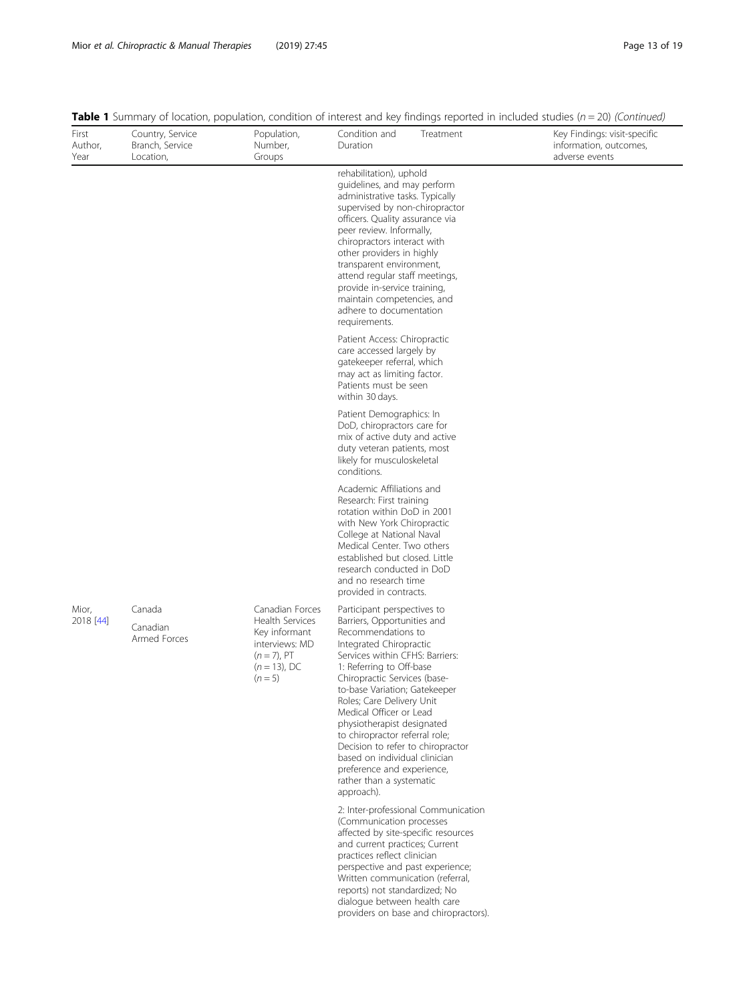|  |  | <b>Table 1</b> Summary of location, population, condition of interest and key findings reported in included studies ( $n = 20$ ) (Continued) |  |  |  |  |
|--|--|----------------------------------------------------------------------------------------------------------------------------------------------|--|--|--|--|
|  |  |                                                                                                                                              |  |  |  |  |

| First<br>Author,<br>Year | Country, Service<br>Branch, Service<br>Location, | Population,<br>Number,<br>Groups                                                                                             | Condition and<br>Treatment<br>Duration                                                                                                                                                                                                                                                                                                                                                                                                                                                                                                                                                                                                                                                                                                                                                                                                                                         | Key Findings: visit-specific<br>information, outcomes,<br>adverse events |
|--------------------------|--------------------------------------------------|------------------------------------------------------------------------------------------------------------------------------|--------------------------------------------------------------------------------------------------------------------------------------------------------------------------------------------------------------------------------------------------------------------------------------------------------------------------------------------------------------------------------------------------------------------------------------------------------------------------------------------------------------------------------------------------------------------------------------------------------------------------------------------------------------------------------------------------------------------------------------------------------------------------------------------------------------------------------------------------------------------------------|--------------------------------------------------------------------------|
|                          |                                                  |                                                                                                                              | rehabilitation), uphold<br>guidelines, and may perform<br>administrative tasks. Typically<br>supervised by non-chiropractor<br>officers. Quality assurance via<br>peer review. Informally,<br>chiropractors interact with<br>other providers in highly<br>transparent environment,<br>attend regular staff meetings,<br>provide in-service training,<br>maintain competencies, and<br>adhere to documentation<br>requirements.                                                                                                                                                                                                                                                                                                                                                                                                                                                 |                                                                          |
|                          |                                                  |                                                                                                                              | Patient Access: Chiropractic<br>care accessed largely by<br>gatekeeper referral, which<br>may act as limiting factor.<br>Patients must be seen<br>within 30 days.                                                                                                                                                                                                                                                                                                                                                                                                                                                                                                                                                                                                                                                                                                              |                                                                          |
|                          |                                                  |                                                                                                                              | Patient Demographics: In<br>DoD, chiropractors care for<br>mix of active duty and active<br>duty veteran patients, most<br>likely for musculoskeletal<br>conditions.                                                                                                                                                                                                                                                                                                                                                                                                                                                                                                                                                                                                                                                                                                           |                                                                          |
|                          |                                                  |                                                                                                                              | Academic Affiliations and<br>Research: First training<br>rotation within DoD in 2001<br>with New York Chiropractic<br>College at National Naval<br>Medical Center. Two others<br>established but closed. Little<br>research conducted in DoD<br>and no research time<br>provided in contracts.                                                                                                                                                                                                                                                                                                                                                                                                                                                                                                                                                                                 |                                                                          |
| Mior,<br>2018 [44]       | Canada<br>Canadian<br>Armed Forces               | Canadian Forces<br><b>Health Services</b><br>Key informant<br>interviews: MD<br>$(n = 7)$ , PT<br>$(n = 13)$ , DC<br>$(n=5)$ | Participant perspectives to<br>Barriers, Opportunities and<br>Recommendations to<br>Integrated Chiropractic<br>Services within CFHS: Barriers:<br>1: Referring to Off-base<br>Chiropractic Services (base-<br>to-base Variation; Gatekeeper<br>Roles; Care Delivery Unit<br>Medical Officer or Lead<br>physiotherapist designated<br>to chiropractor referral role;<br>Decision to refer to chiropractor<br>based on individual clinician<br>preference and experience,<br>rather than a systematic<br>approach).<br>2: Inter-professional Communication<br>(Communication processes<br>affected by site-specific resources<br>and current practices; Current<br>practices reflect clinician<br>perspective and past experience;<br>Written communication (referral,<br>reports) not standardized; No<br>dialogue between health care<br>providers on base and chiropractors). |                                                                          |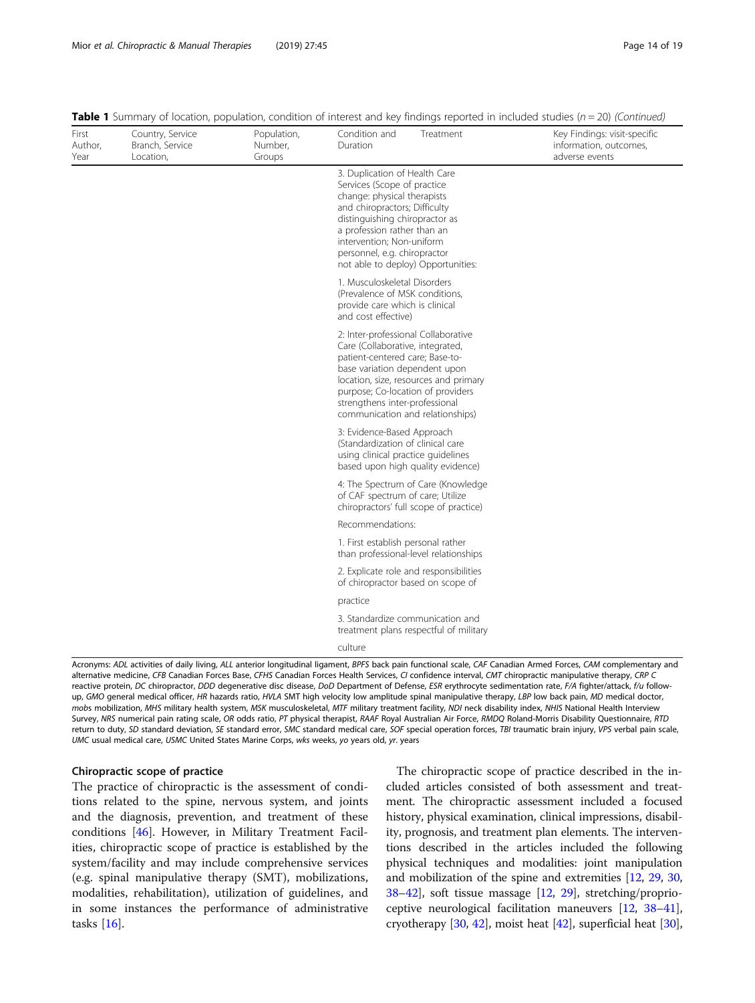| First<br>Author,<br>Year | Country, Service<br>Branch, Service<br>Location, | Population,<br>Number,<br>Groups | Condition and<br>Treatment<br>Duration                                                                                                                                                                                                                                                           | Key Findings: visit-specific<br>information, outcomes,<br>adverse events |
|--------------------------|--------------------------------------------------|----------------------------------|--------------------------------------------------------------------------------------------------------------------------------------------------------------------------------------------------------------------------------------------------------------------------------------------------|--------------------------------------------------------------------------|
|                          |                                                  |                                  | 3. Duplication of Health Care<br>Services (Scope of practice<br>change: physical therapists<br>and chiropractors; Difficulty<br>distinguishing chiropractor as<br>a profession rather than an<br>intervention; Non-uniform<br>personnel, e.g. chiropractor<br>not able to deploy) Opportunities: |                                                                          |
|                          |                                                  |                                  | 1. Musculoskeletal Disorders<br>(Prevalence of MSK conditions,<br>provide care which is clinical<br>and cost effective)                                                                                                                                                                          |                                                                          |
|                          |                                                  |                                  | 2: Inter-professional Collaborative<br>Care (Collaborative, integrated,<br>patient-centered care; Base-to-<br>base variation dependent upon<br>location, size, resources and primary<br>purpose; Co-location of providers<br>strengthens inter-professional<br>communication and relationships)  |                                                                          |
|                          |                                                  |                                  | 3: Evidence-Based Approach<br>(Standardization of clinical care<br>using clinical practice guidelines<br>based upon high quality evidence)                                                                                                                                                       |                                                                          |
|                          |                                                  |                                  | 4: The Spectrum of Care (Knowledge<br>of CAF spectrum of care; Utilize<br>chiropractors' full scope of practice)                                                                                                                                                                                 |                                                                          |
|                          |                                                  |                                  | Recommendations:                                                                                                                                                                                                                                                                                 |                                                                          |
|                          |                                                  |                                  | 1. First establish personal rather<br>than professional-level relationships                                                                                                                                                                                                                      |                                                                          |
|                          |                                                  |                                  | 2. Explicate role and responsibilities<br>of chiropractor based on scope of                                                                                                                                                                                                                      |                                                                          |
|                          |                                                  |                                  | practice                                                                                                                                                                                                                                                                                         |                                                                          |
|                          |                                                  |                                  | 3. Standardize communication and<br>treatment plans respectful of military                                                                                                                                                                                                                       |                                                                          |
|                          |                                                  |                                  | culture                                                                                                                                                                                                                                                                                          |                                                                          |

**Table 1** Summary of location, population, condition of interest and key findings reported in included studies ( $n = 20$ ) (Continued)

Acronyms: ADL activities of daily living, ALL anterior longitudinal ligament, BPFS back pain functional scale, CAF Canadian Armed Forces, CAM complementary and alternative medicine, CFB Canadian Forces Base, CFHS Canadian Forces Health Services, CI confidence interval, CMT chiropractic manipulative therapy, CRP C reactive protein, DC chiropractor, DDD degenerative disc disease, DoD Department of Defense, ESR erythrocyte sedimentation rate, F/A fighter/attack, f/u followup, GMO general medical officer, HR hazards ratio, HVLA SMT high velocity low amplitude spinal manipulative therapy, LBP low back pain, MD medical doctor, mobs mobilization, MHS military health system, MSK musculoskeletal, MTF military treatment facility, NDI neck disability index, NHIS National Health Interview Survey, NRS numerical pain rating scale, OR odds ratio, PT physical therapist, RAAF Royal Australian Air Force, RMDQ Roland-Morris Disability Questionnaire, RTD return to duty, SD standard deviation, SE standard error, SMC standard medical care, SOF special operation forces, TBI traumatic brain injury, VPS verbal pain scale, UMC usual medical care, USMC United States Marine Corps, wks weeks, yo years old, yr. years

#### Chiropractic scope of practice

The practice of chiropractic is the assessment of conditions related to the spine, nervous system, and joints and the diagnosis, prevention, and treatment of these conditions [\[46](#page-18-0)]. However, in Military Treatment Facilities, chiropractic scope of practice is established by the system/facility and may include comprehensive services (e.g. spinal manipulative therapy (SMT), mobilizations, modalities, rehabilitation), utilization of guidelines, and in some instances the performance of administrative tasks [\[16\]](#page-17-0).

The chiropractic scope of practice described in the included articles consisted of both assessment and treatment. The chiropractic assessment included a focused history, physical examination, clinical impressions, disability, prognosis, and treatment plan elements. The interventions described in the articles included the following physical techniques and modalities: joint manipulation and mobilization of the spine and extremities [[12](#page-17-0), [29](#page-18-0), [30](#page-18-0), [38](#page-18-0)–[42\]](#page-18-0), soft tissue massage [\[12,](#page-17-0) [29](#page-18-0)], stretching/proprioceptive neurological facilitation maneuvers [\[12,](#page-17-0) [38](#page-18-0)–[41](#page-18-0)], cryotherapy [\[30,](#page-18-0) [42](#page-18-0)], moist heat [\[42\]](#page-18-0), superficial heat [[30](#page-18-0)],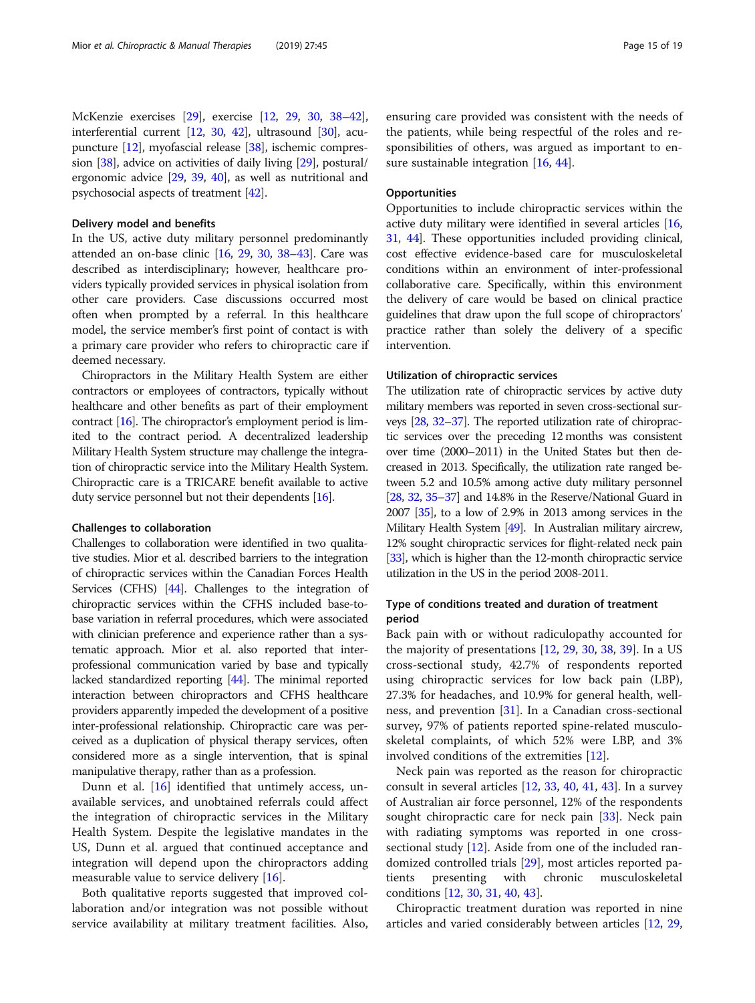McKenzie exercises [\[29\]](#page-18-0), exercise [\[12,](#page-17-0) [29,](#page-18-0) [30](#page-18-0), [38](#page-18-0)–[42](#page-18-0)], interferential current [\[12,](#page-17-0) [30](#page-18-0), [42\]](#page-18-0), ultrasound [[30](#page-18-0)], acupuncture [\[12](#page-17-0)], myofascial release [\[38\]](#page-18-0), ischemic compression [\[38\]](#page-18-0), advice on activities of daily living [[29](#page-18-0)], postural/ ergonomic advice [\[29,](#page-18-0) [39,](#page-18-0) [40](#page-18-0)], as well as nutritional and psychosocial aspects of treatment [\[42\]](#page-18-0).

# Delivery model and benefits

In the US, active duty military personnel predominantly attended an on-base clinic [\[16,](#page-17-0) [29](#page-18-0), [30,](#page-18-0) [38](#page-18-0)–[43](#page-18-0)]. Care was described as interdisciplinary; however, healthcare providers typically provided services in physical isolation from other care providers. Case discussions occurred most often when prompted by a referral. In this healthcare model, the service member's first point of contact is with a primary care provider who refers to chiropractic care if deemed necessary.

Chiropractors in the Military Health System are either contractors or employees of contractors, typically without healthcare and other benefits as part of their employment contract [[16](#page-17-0)]. The chiropractor's employment period is limited to the contract period. A decentralized leadership Military Health System structure may challenge the integration of chiropractic service into the Military Health System. Chiropractic care is a TRICARE benefit available to active duty service personnel but not their dependents [[16](#page-17-0)].

#### Challenges to collaboration

Challenges to collaboration were identified in two qualitative studies. Mior et al. described barriers to the integration of chiropractic services within the Canadian Forces Health Services (CFHS) [\[44](#page-18-0)]. Challenges to the integration of chiropractic services within the CFHS included base-tobase variation in referral procedures, which were associated with clinician preference and experience rather than a systematic approach. Mior et al. also reported that interprofessional communication varied by base and typically lacked standardized reporting [\[44\]](#page-18-0). The minimal reported interaction between chiropractors and CFHS healthcare providers apparently impeded the development of a positive inter-professional relationship. Chiropractic care was perceived as a duplication of physical therapy services, often considered more as a single intervention, that is spinal manipulative therapy, rather than as a profession.

Dunn et al. [[16\]](#page-17-0) identified that untimely access, unavailable services, and unobtained referrals could affect the integration of chiropractic services in the Military Health System. Despite the legislative mandates in the US, Dunn et al. argued that continued acceptance and integration will depend upon the chiropractors adding measurable value to service delivery [\[16\]](#page-17-0).

Both qualitative reports suggested that improved collaboration and/or integration was not possible without service availability at military treatment facilities. Also, ensuring care provided was consistent with the needs of the patients, while being respectful of the roles and responsibilities of others, was argued as important to en-sure sustainable integration [\[16](#page-17-0), [44](#page-18-0)].

# **Opportunities**

Opportunities to include chiropractic services within the active duty military were identified in several articles [[16](#page-17-0), [31](#page-18-0), [44\]](#page-18-0). These opportunities included providing clinical, cost effective evidence-based care for musculoskeletal conditions within an environment of inter-professional collaborative care. Specifically, within this environment the delivery of care would be based on clinical practice guidelines that draw upon the full scope of chiropractors' practice rather than solely the delivery of a specific intervention.

# Utilization of chiropractic services

The utilization rate of chiropractic services by active duty military members was reported in seven cross-sectional surveys [\[28](#page-18-0), [32](#page-18-0)–[37\]](#page-18-0). The reported utilization rate of chiropractic services over the preceding 12 months was consistent over time (2000–2011) in the United States but then decreased in 2013. Specifically, the utilization rate ranged between 5.2 and 10.5% among active duty military personnel [[28,](#page-18-0) [32](#page-18-0), [35](#page-18-0)–[37](#page-18-0)] and 14.8% in the Reserve/National Guard in 2007 [\[35](#page-18-0)], to a low of 2.9% in 2013 among services in the Military Health System [\[49](#page-18-0)]. In Australian military aircrew, 12% sought chiropractic services for flight-related neck pain [[33\]](#page-18-0), which is higher than the 12-month chiropractic service utilization in the US in the period 2008-2011.

# Type of conditions treated and duration of treatment period

Back pain with or without radiculopathy accounted for the majority of presentations [\[12](#page-17-0), [29](#page-18-0), [30](#page-18-0), [38,](#page-18-0) [39\]](#page-18-0). In a US cross-sectional study, 42.7% of respondents reported using chiropractic services for low back pain (LBP), 27.3% for headaches, and 10.9% for general health, wellness, and prevention [\[31](#page-18-0)]. In a Canadian cross-sectional survey, 97% of patients reported spine-related musculoskeletal complaints, of which 52% were LBP, and 3% involved conditions of the extremities [[12](#page-17-0)].

Neck pain was reported as the reason for chiropractic consult in several articles [[12](#page-17-0), [33](#page-18-0), [40](#page-18-0), [41](#page-18-0), [43](#page-18-0)]. In a survey of Australian air force personnel, 12% of the respondents sought chiropractic care for neck pain [[33\]](#page-18-0). Neck pain with radiating symptoms was reported in one crosssectional study [[12](#page-17-0)]. Aside from one of the included randomized controlled trials [[29\]](#page-18-0), most articles reported patients presenting with chronic musculoskeletal conditions [[12](#page-17-0), [30](#page-18-0), [31](#page-18-0), [40](#page-18-0), [43\]](#page-18-0).

Chiropractic treatment duration was reported in nine articles and varied considerably between articles [\[12](#page-17-0), [29](#page-18-0),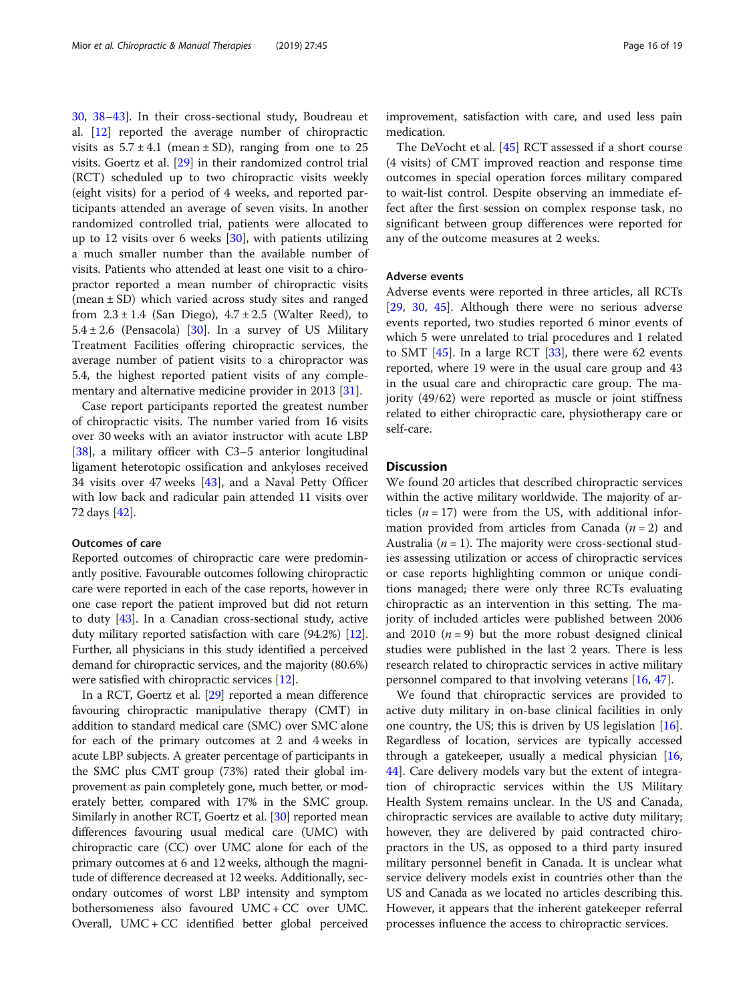[30,](#page-18-0) [38](#page-18-0)–[43\]](#page-18-0). In their cross-sectional study, Boudreau et al. [[12\]](#page-17-0) reported the average number of chiropractic visits as  $5.7 \pm 4.1$  (mean  $\pm$  SD), ranging from one to 25 visits. Goertz et al. [[29\]](#page-18-0) in their randomized control trial (RCT) scheduled up to two chiropractic visits weekly (eight visits) for a period of 4 weeks, and reported participants attended an average of seven visits. In another randomized controlled trial, patients were allocated to up to 12 visits over 6 weeks [\[30](#page-18-0)], with patients utilizing a much smaller number than the available number of visits. Patients who attended at least one visit to a chiropractor reported a mean number of chiropractic visits (mean ± SD) which varied across study sites and ranged from  $2.3 \pm 1.4$  (San Diego),  $4.7 \pm 2.5$  (Walter Reed), to  $5.4 \pm 2.6$  (Pensacola) [[30](#page-18-0)]. In a survey of US Military Treatment Facilities offering chiropractic services, the average number of patient visits to a chiropractor was 5.4, the highest reported patient visits of any complementary and alternative medicine provider in 2013 [[31\]](#page-18-0).

Case report participants reported the greatest number of chiropractic visits. The number varied from 16 visits over 30 weeks with an aviator instructor with acute LBP [[38\]](#page-18-0), a military officer with C3–5 anterior longitudinal ligament heterotopic ossification and ankyloses received 34 visits over 47 weeks [[43](#page-18-0)], and a Naval Petty Officer with low back and radicular pain attended 11 visits over 72 days [\[42](#page-18-0)].

# Outcomes of care

Reported outcomes of chiropractic care were predominantly positive. Favourable outcomes following chiropractic care were reported in each of the case reports, however in one case report the patient improved but did not return to duty [\[43\]](#page-18-0). In a Canadian cross-sectional study, active duty military reported satisfaction with care (94.2%) [[12](#page-17-0)]. Further, all physicians in this study identified a perceived demand for chiropractic services, and the majority (80.6%) were satisfied with chiropractic services [\[12\]](#page-17-0).

In a RCT, Goertz et al. [[29](#page-18-0)] reported a mean difference favouring chiropractic manipulative therapy (CMT) in addition to standard medical care (SMC) over SMC alone for each of the primary outcomes at 2 and 4 weeks in acute LBP subjects. A greater percentage of participants in the SMC plus CMT group (73%) rated their global improvement as pain completely gone, much better, or moderately better, compared with 17% in the SMC group. Similarly in another RCT, Goertz et al. [\[30\]](#page-18-0) reported mean differences favouring usual medical care (UMC) with chiropractic care (CC) over UMC alone for each of the primary outcomes at 6 and 12 weeks, although the magnitude of difference decreased at 12 weeks. Additionally, secondary outcomes of worst LBP intensity and symptom bothersomeness also favoured UMC + CC over UMC. Overall, UMC + CC identified better global perceived

improvement, satisfaction with care, and used less pain medication.

The DeVocht et al. [\[45\]](#page-18-0) RCT assessed if a short course (4 visits) of CMT improved reaction and response time outcomes in special operation forces military compared to wait-list control. Despite observing an immediate effect after the first session on complex response task, no significant between group differences were reported for any of the outcome measures at 2 weeks.

# Adverse events

Adverse events were reported in three articles, all RCTs [[29,](#page-18-0) [30](#page-18-0), [45](#page-18-0)]. Although there were no serious adverse events reported, two studies reported 6 minor events of which 5 were unrelated to trial procedures and 1 related to SMT [\[45\]](#page-18-0). In a large RCT [[33\]](#page-18-0), there were 62 events reported, where 19 were in the usual care group and 43 in the usual care and chiropractic care group. The majority (49/62) were reported as muscle or joint stiffness related to either chiropractic care, physiotherapy care or self-care.

# **Discussion**

We found 20 articles that described chiropractic services within the active military worldwide. The majority of articles  $(n = 17)$  were from the US, with additional information provided from articles from Canada  $(n = 2)$  and Australia ( $n = 1$ ). The majority were cross-sectional studies assessing utilization or access of chiropractic services or case reports highlighting common or unique conditions managed; there were only three RCTs evaluating chiropractic as an intervention in this setting. The majority of included articles were published between 2006 and 2010  $(n = 9)$  but the more robust designed clinical studies were published in the last 2 years. There is less research related to chiropractic services in active military personnel compared to that involving veterans [[16](#page-17-0), [47](#page-18-0)].

We found that chiropractic services are provided to active duty military in on-base clinical facilities in only one country, the US; this is driven by US legislation [\[16](#page-17-0)]. Regardless of location, services are typically accessed through a gatekeeper, usually a medical physician [[16](#page-17-0), 44. Care delivery models vary but the extent of integration of chiropractic services within the US Military Health System remains unclear. In the US and Canada, chiropractic services are available to active duty military; however, they are delivered by paid contracted chiropractors in the US, as opposed to a third party insured military personnel benefit in Canada. It is unclear what service delivery models exist in countries other than the US and Canada as we located no articles describing this. However, it appears that the inherent gatekeeper referral processes influence the access to chiropractic services.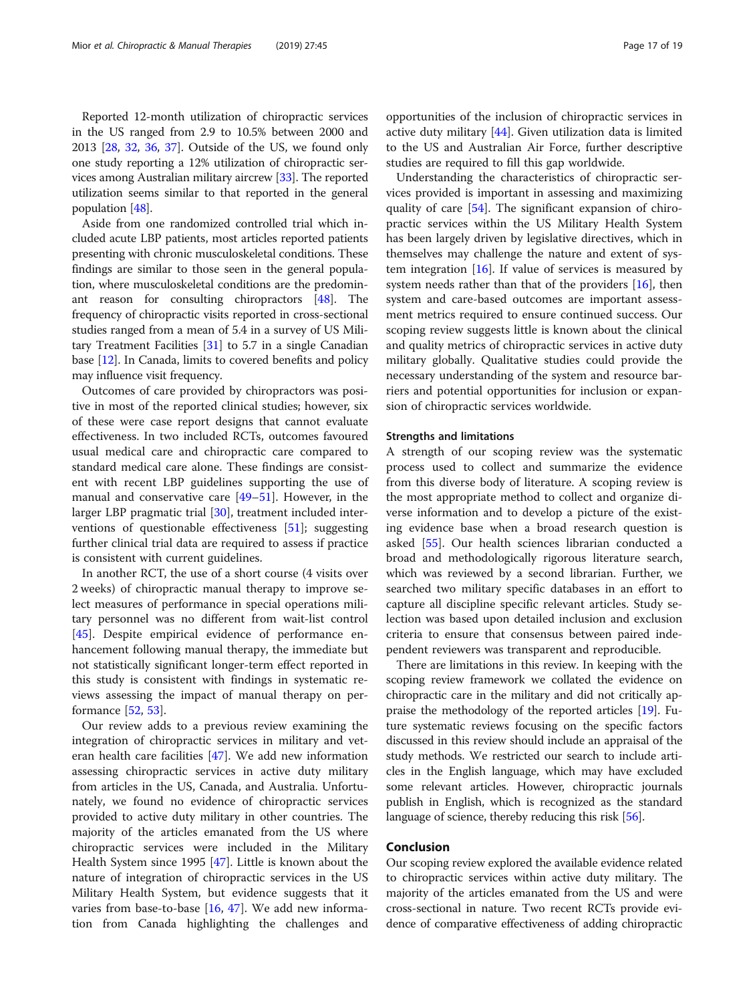Reported 12-month utilization of chiropractic services in the US ranged from 2.9 to 10.5% between 2000 and 2013 [\[28,](#page-18-0) [32](#page-18-0), [36,](#page-18-0) [37\]](#page-18-0). Outside of the US, we found only one study reporting a 12% utilization of chiropractic services among Australian military aircrew [[33](#page-18-0)]. The reported utilization seems similar to that reported in the general population [[48](#page-18-0)].

Aside from one randomized controlled trial which included acute LBP patients, most articles reported patients presenting with chronic musculoskeletal conditions. These findings are similar to those seen in the general population, where musculoskeletal conditions are the predominant reason for consulting chiropractors [[48](#page-18-0)]. The frequency of chiropractic visits reported in cross-sectional studies ranged from a mean of 5.4 in a survey of US Military Treatment Facilities [\[31\]](#page-18-0) to 5.7 in a single Canadian base [\[12\]](#page-17-0). In Canada, limits to covered benefits and policy may influence visit frequency.

Outcomes of care provided by chiropractors was positive in most of the reported clinical studies; however, six of these were case report designs that cannot evaluate effectiveness. In two included RCTs, outcomes favoured usual medical care and chiropractic care compared to standard medical care alone. These findings are consistent with recent LBP guidelines supporting the use of manual and conservative care [[49](#page-18-0)–[51](#page-18-0)]. However, in the larger LBP pragmatic trial [[30\]](#page-18-0), treatment included interventions of questionable effectiveness [\[51](#page-18-0)]; suggesting further clinical trial data are required to assess if practice is consistent with current guidelines.

In another RCT, the use of a short course (4 visits over 2 weeks) of chiropractic manual therapy to improve select measures of performance in special operations military personnel was no different from wait-list control [[45\]](#page-18-0). Despite empirical evidence of performance enhancement following manual therapy, the immediate but not statistically significant longer-term effect reported in this study is consistent with findings in systematic reviews assessing the impact of manual therapy on performance [\[52](#page-18-0), [53\]](#page-18-0).

Our review adds to a previous review examining the integration of chiropractic services in military and veteran health care facilities [\[47\]](#page-18-0). We add new information assessing chiropractic services in active duty military from articles in the US, Canada, and Australia. Unfortunately, we found no evidence of chiropractic services provided to active duty military in other countries. The majority of the articles emanated from the US where chiropractic services were included in the Military Health System since 1995 [[47](#page-18-0)]. Little is known about the nature of integration of chiropractic services in the US Military Health System, but evidence suggests that it varies from base-to-base  $[16, 47]$  $[16, 47]$  $[16, 47]$ . We add new information from Canada highlighting the challenges and

opportunities of the inclusion of chiropractic services in active duty military [\[44](#page-18-0)]. Given utilization data is limited to the US and Australian Air Force, further descriptive studies are required to fill this gap worldwide.

Understanding the characteristics of chiropractic services provided is important in assessing and maximizing quality of care [\[54\]](#page-18-0). The significant expansion of chiropractic services within the US Military Health System has been largely driven by legislative directives, which in themselves may challenge the nature and extent of system integration  $[16]$  $[16]$ . If value of services is measured by system needs rather than that of the providers [[16\]](#page-17-0), then system and care-based outcomes are important assessment metrics required to ensure continued success. Our scoping review suggests little is known about the clinical and quality metrics of chiropractic services in active duty military globally. Qualitative studies could provide the necessary understanding of the system and resource barriers and potential opportunities for inclusion or expansion of chiropractic services worldwide.

# Strengths and limitations

A strength of our scoping review was the systematic process used to collect and summarize the evidence from this diverse body of literature. A scoping review is the most appropriate method to collect and organize diverse information and to develop a picture of the existing evidence base when a broad research question is asked [[55\]](#page-18-0). Our health sciences librarian conducted a broad and methodologically rigorous literature search, which was reviewed by a second librarian. Further, we searched two military specific databases in an effort to capture all discipline specific relevant articles. Study selection was based upon detailed inclusion and exclusion criteria to ensure that consensus between paired independent reviewers was transparent and reproducible.

There are limitations in this review. In keeping with the scoping review framework we collated the evidence on chiropractic care in the military and did not critically appraise the methodology of the reported articles [\[19\]](#page-17-0). Future systematic reviews focusing on the specific factors discussed in this review should include an appraisal of the study methods. We restricted our search to include articles in the English language, which may have excluded some relevant articles. However, chiropractic journals publish in English, which is recognized as the standard language of science, thereby reducing this risk [\[56\]](#page-18-0).

# Conclusion

Our scoping review explored the available evidence related to chiropractic services within active duty military. The majority of the articles emanated from the US and were cross-sectional in nature. Two recent RCTs provide evidence of comparative effectiveness of adding chiropractic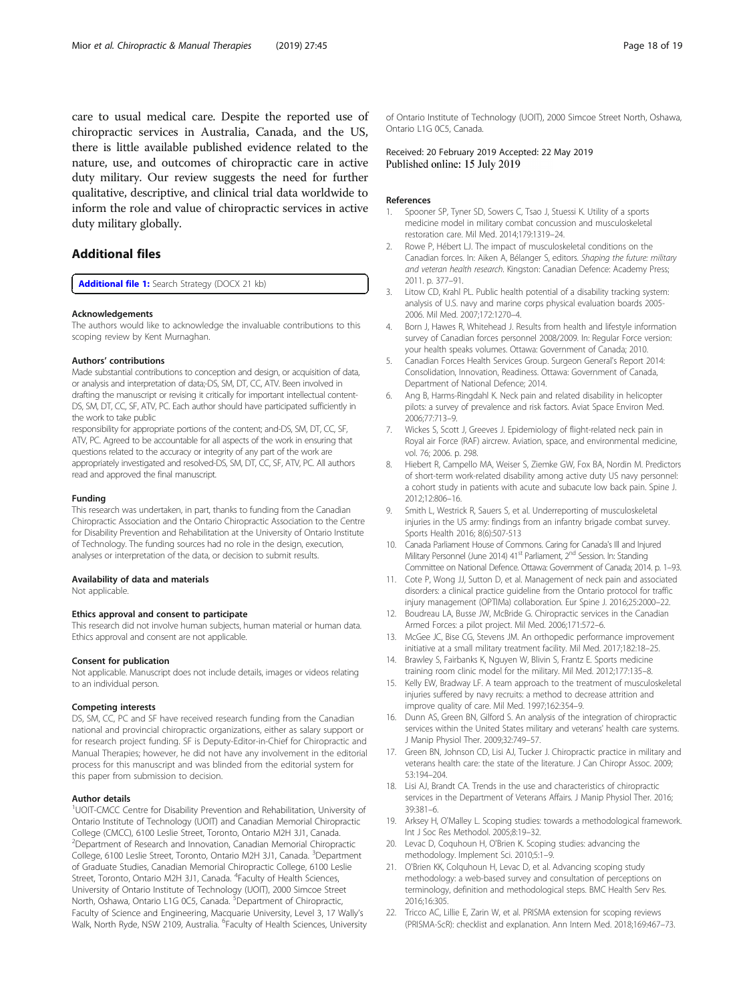<span id="page-17-0"></span>care to usual medical care. Despite the reported use of chiropractic services in Australia, Canada, and the US, there is little available published evidence related to the nature, use, and outcomes of chiropractic care in active duty military. Our review suggests the need for further qualitative, descriptive, and clinical trial data worldwide to inform the role and value of chiropractic services in active duty military globally.

# Additional files

[Additional file 1:](https://doi.org/10.1186/s12998-019-0259-6) Search Strategy (DOCX 21 kb)

#### Acknowledgements

The authors would like to acknowledge the invaluable contributions to this scoping review by Kent Murnaghan.

#### Authors' contributions

Made substantial contributions to conception and design, or acquisition of data, or analysis and interpretation of data;-DS, SM, DT, CC, ATV. Been involved in drafting the manuscript or revising it critically for important intellectual content-DS, SM, DT, CC, SF, ATV, PC. Each author should have participated sufficiently in the work to take public

responsibility for appropriate portions of the content; and-DS, SM, DT, CC, SF, ATV, PC. Agreed to be accountable for all aspects of the work in ensuring that questions related to the accuracy or integrity of any part of the work are appropriately investigated and resolved-DS, SM, DT, CC, SF, ATV, PC. All authors read and approved the final manuscript.

#### Funding

This research was undertaken, in part, thanks to funding from the Canadian Chiropractic Association and the Ontario Chiropractic Association to the Centre for Disability Prevention and Rehabilitation at the University of Ontario Institute of Technology. The funding sources had no role in the design, execution, analyses or interpretation of the data, or decision to submit results.

#### Availability of data and materials

Not applicable.

# Ethics approval and consent to participate

This research did not involve human subjects, human material or human data. Ethics approval and consent are not applicable.

# Consent for publication

Not applicable. Manuscript does not include details, images or videos relating to an individual person.

#### Competing interests

DS, SM, CC, PC and SF have received research funding from the Canadian national and provincial chiropractic organizations, either as salary support or for research project funding. SF is Deputy-Editor-in-Chief for Chiropractic and Manual Therapies; however, he did not have any involvement in the editorial process for this manuscript and was blinded from the editorial system for this paper from submission to decision.

#### Author details

<sup>1</sup>UOIT-CMCC Centre for Disability Prevention and Rehabilitation, University of Ontario Institute of Technology (UOIT) and Canadian Memorial Chiropractic College (CMCC), 6100 Leslie Street, Toronto, Ontario M2H 3J1, Canada. 2 Department of Research and Innovation, Canadian Memorial Chiropractic College, 6100 Leslie Street, Toronto, Ontario M2H 3J1, Canada. <sup>3</sup>Department of Graduate Studies, Canadian Memorial Chiropractic College, 6100 Leslie Street, Toronto, Ontario M2H 3J1, Canada. <sup>4</sup>Faculty of Health Sciences, University of Ontario Institute of Technology (UOIT), 2000 Simcoe Street North, Oshawa, Ontario L1G 0C5, Canada. <sup>5</sup> Department of Chiropractic, Faculty of Science and Engineering, Macquarie University, Level 3, 17 Wally's Walk, North Ryde, NSW 2109, Australia. <sup>6</sup>Faculty of Health Sciences, University of Ontario Institute of Technology (UOIT), 2000 Simcoe Street North, Oshawa, Ontario L1G 0C5, Canada.

Received: 20 February 2019 Accepted: 22 May 2019 Published online: 15 July 2019

# References

- 1. Spooner SP, Tyner SD, Sowers C, Tsao J, Stuessi K. Utility of a sports medicine model in military combat concussion and musculoskeletal restoration care. Mil Med. 2014;179:1319–24.
- 2. Rowe P, Hébert LJ. The impact of musculoskeletal conditions on the Canadian forces. In: Aiken A, Bélanger S, editors. Shaping the future: military and veteran health research. Kingston: Canadian Defence: Academy Press; 2011. p. 377–91.
- 3. Litow CD, Krahl PL. Public health potential of a disability tracking system: analysis of U.S. navy and marine corps physical evaluation boards 2005- 2006. Mil Med. 2007;172:1270–4.
- Born J, Hawes R, Whitehead J. Results from health and lifestyle information survey of Canadian forces personnel 2008/2009. In: Regular Force version: your health speaks volumes. Ottawa: Government of Canada; 2010.
- 5. Canadian Forces Health Services Group. Surgeon General's Report 2014: Consolidation, Innovation, Readiness. Ottawa: Government of Canada, Department of National Defence; 2014.
- 6. Ang B, Harms-Ringdahl K. Neck pain and related disability in helicopter pilots: a survey of prevalence and risk factors. Aviat Space Environ Med. 2006;77:713–9.
- 7. Wickes S, Scott J, Greeves J. Epidemiology of flight-related neck pain in Royal air Force (RAF) aircrew. Aviation, space, and environmental medicine, vol. 76; 2006. p. 298.
- Hiebert R, Campello MA, Weiser S, Ziemke GW, Fox BA, Nordin M. Predictors of short-term work-related disability among active duty US navy personnel: a cohort study in patients with acute and subacute low back pain. Spine J. 2012;12:806–16.
- 9. Smith L, Westrick R, Sauers S, et al. Underreporting of musculoskeletal injuries in the US army: findings from an infantry brigade combat survey. Sports Health 2016; 8(6):507-513
- 10. Canada Parliament House of Commons. Caring for Canada's Ill and Injured Military Personnel (June 2014) 41<sup>st</sup> Parliament, 2<sup>nd</sup> Session. In: Standing Committee on National Defence. Ottawa: Government of Canada; 2014. p. 1–93.
- 11. Cote P, Wong JJ, Sutton D, et al. Management of neck pain and associated disorders: a clinical practice guideline from the Ontario protocol for traffic injury management (OPTIMa) collaboration. Eur Spine J. 2016;25:2000–22.
- 12. Boudreau LA, Busse JW, McBride G. Chiropractic services in the Canadian Armed Forces: a pilot project. Mil Med. 2006;171:572–6.
- 13. McGee JC, Bise CG, Stevens JM. An orthopedic performance improvement initiative at a small military treatment facility. Mil Med. 2017;182:18–25.
- 14. Brawley S, Fairbanks K, Nguyen W, Blivin S, Frantz E. Sports medicine training room clinic model for the military. Mil Med. 2012;177:135–8.
- 15. Kelly EW, Bradway LF. A team approach to the treatment of musculoskeletal injuries suffered by navy recruits: a method to decrease attrition and improve quality of care. Mil Med. 1997;162:354–9.
- 16. Dunn AS, Green BN, Gilford S. An analysis of the integration of chiropractic services within the United States military and veterans' health care systems. J Manip Physiol Ther. 2009;32:749–57.
- 17. Green BN, Johnson CD, Lisi AJ, Tucker J. Chiropractic practice in military and veterans health care: the state of the literature. J Can Chiropr Assoc. 2009; 53:194–204.
- 18. Lisi AJ, Brandt CA. Trends in the use and characteristics of chiropractic services in the Department of Veterans Affairs. J Manip Physiol Ther. 2016; 39:381–6.
- 19. Arksey H, O'Malley L. Scoping studies: towards a methodological framework. Int J Soc Res Methodol. 2005;8:19–32.
- 20. Levac D, Coquhoun H, O'Brien K. Scoping studies: advancing the methodology. Implement Sci. 2010;5:1–9.
- 21. O'Brien KK, Colquhoun H, Levac D, et al. Advancing scoping study methodology: a web-based survey and consultation of perceptions on terminology, definition and methodological steps. BMC Health Serv Res. 2016;16:305.
- 22. Tricco AC, Lillie E, Zarin W, et al. PRISMA extension for scoping reviews (PRISMA-ScR): checklist and explanation. Ann Intern Med. 2018;169:467–73.